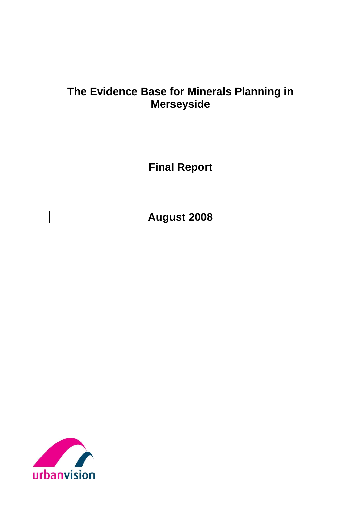# **The Evidence Base for Minerals Planning in Merseyside**

**Final Report**

**August 2008**

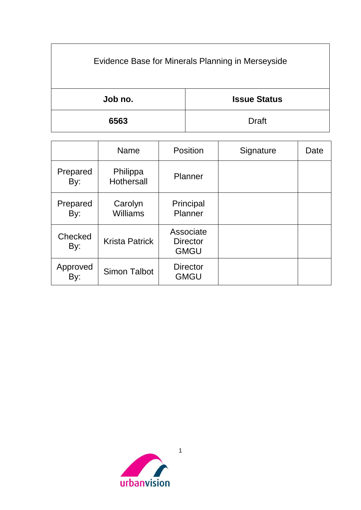| Evidence Base for Minerals Planning in Merseyside |                     |
|---------------------------------------------------|---------------------|
| Job no.                                           | <b>Issue Status</b> |
| 6563                                              | <b>Draft</b>        |

|                 | <b>Name</b>                   | Position                                    | Signature | Date |
|-----------------|-------------------------------|---------------------------------------------|-----------|------|
| Prepared<br>By: | Philippa<br><b>Hothersall</b> | Planner                                     |           |      |
| Prepared<br>By: | Carolyn<br>Williams           | Principal<br>Planner                        |           |      |
| Checked<br>By:  | <b>Krista Patrick</b>         | Associate<br><b>Director</b><br><b>GMGU</b> |           |      |
| Approved<br>By: | <b>Simon Talbot</b>           | <b>Director</b><br><b>GMGU</b>              |           |      |

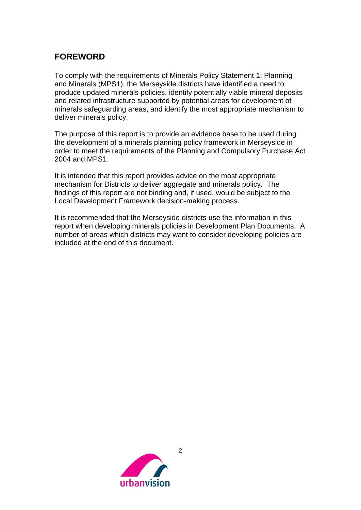# **FOREWORD**

To comply with the requirements of Minerals Policy Statement 1: Planning and Minerals (MPS1), the Merseyside districts have identified a need to produce updated minerals policies, identify potentially viable mineral deposits and related infrastructure supported by potential areas for development of minerals safeguarding areas, and identify the most appropriate mechanism to deliver minerals policy.

The purpose of this report is to provide an evidence base to be used during the development of a minerals planning policy framework in Merseyside in order to meet the requirements of the Planning and Compulsory Purchase Act 2004 and MPS1.

It is intended that this report provides advice on the most appropriate mechanism for Districts to deliver aggregate and minerals policy. The findings of this report are not binding and, if used, would be subject to the Local Development Framework decision-making process.

It is recommended that the Merseyside districts use the information in this report when developing minerals policies in Development Plan Documents. A number of areas which districts may want to consider developing policies are included at the end of this document.

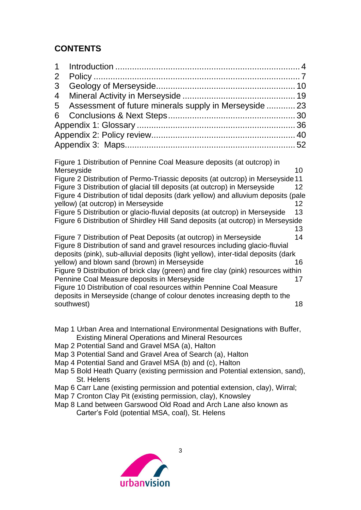# **CONTENTS**

| 1            |                                                                                                                                                  |    |
|--------------|--------------------------------------------------------------------------------------------------------------------------------------------------|----|
| $\mathbf{2}$ |                                                                                                                                                  |    |
| 3            |                                                                                                                                                  |    |
| 4            |                                                                                                                                                  |    |
| 5            | Assessment of future minerals supply in Merseyside  23                                                                                           |    |
| 6            |                                                                                                                                                  |    |
|              |                                                                                                                                                  |    |
|              |                                                                                                                                                  |    |
|              |                                                                                                                                                  |    |
|              |                                                                                                                                                  |    |
|              | Figure 1 Distribution of Pennine Coal Measure deposits (at outcrop) in                                                                           |    |
|              | Merseyside<br>Figure 2 Distribution of Permo-Triassic deposits (at outcrop) in Merseyside 11                                                     | 10 |
|              | Figure 3 Distribution of glacial till deposits (at outcrop) in Merseyside                                                                        | 12 |
|              | Figure 4 Distribution of tidal deposits (dark yellow) and alluvium deposits (pale                                                                |    |
|              | yellow) (at outcrop) in Merseyside                                                                                                               | 12 |
|              | Figure 5 Distribution or glacio-fluvial deposits (at outcrop) in Merseyside                                                                      | 13 |
|              | Figure 6 Distribution of Shirdley Hill Sand deposits (at outcrop) in Merseyside                                                                  |    |
|              |                                                                                                                                                  | 13 |
|              | Figure 7 Distribution of Peat Deposits (at outcrop) in Merseyside<br>Figure 8 Distribution of sand and gravel resources including glacio-fluvial | 14 |
|              | deposits (pink), sub-alluvial deposits (light yellow), inter-tidal deposits (dark                                                                |    |
|              | yellow) and blown sand (brown) in Merseyside                                                                                                     | 16 |
|              | Figure 9 Distribution of brick clay (green) and fire clay (pink) resources within                                                                |    |
|              | Pennine Coal Measure deposits in Merseyside                                                                                                      | 17 |
|              | Figure 10 Distribution of coal resources within Pennine Coal Measure                                                                             |    |
|              | deposits in Merseyside (change of colour denotes increasing depth to the                                                                         |    |
|              | southwest)                                                                                                                                       | 18 |

- Map 1 Urban Area and International Environmental Designations with Buffer, Existing Mineral Operations and Mineral Resources
- Map 2 Potential Sand and Gravel MSA (a), Halton
- Map 3 Potential Sand and Gravel Area of Search (a), Halton
- Map 4 Potential Sand and Gravel MSA (b) and (c), Halton
- Map 5 Bold Heath Quarry (existing permission and Potential extension, sand), St. Helens

- Map 6 Carr Lane (existing permission and potential extension, clay), Wirral;
- Map 7 Cronton Clay Pit (existing permission, clay), Knowsley
- Map 8 Land between Garswood Old Road and Arch Lane also known as Carter's Fold (potential MSA, coal), St. Helens

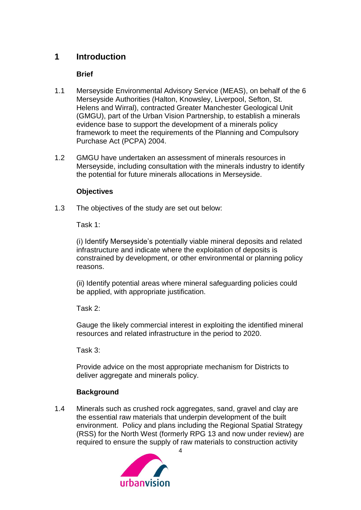# <span id="page-4-0"></span>**1 Introduction**

### **Brief**

- 1.1 Merseyside Environmental Advisory Service (MEAS), on behalf of the 6 Merseyside Authorities (Halton, Knowsley, Liverpool, Sefton, St. Helens and Wirral), contracted Greater Manchester Geological Unit (GMGU), part of the Urban Vision Partnership, to establish a minerals evidence base to support the development of a minerals policy framework to meet the requirements of the Planning and Compulsory Purchase Act (PCPA) 2004.
- 1.2 GMGU have undertaken an assessment of minerals resources in Merseyside, including consultation with the minerals industry to identify the potential for future minerals allocations in Merseyside.

#### **Objectives**

1.3 The objectives of the study are set out below:

Task 1:

(i) Identify Merseyside's potentially viable mineral deposits and related infrastructure and indicate where the exploitation of deposits is constrained by development, or other environmental or planning policy reasons.

(ii) Identify potential areas where mineral safeguarding policies could be applied, with appropriate justification.

Task 2:

Gauge the likely commercial interest in exploiting the identified mineral resources and related infrastructure in the period to 2020.

Task 3:

Provide advice on the most appropriate mechanism for Districts to deliver aggregate and minerals policy.

#### **Background**

1.4 Minerals such as crushed rock aggregates, sand, gravel and clay are the essential raw materials that underpin development of the built environment. Policy and plans including the Regional Spatial Strategy (RSS) for the North West (formerly RPG 13 and now under review) are required to ensure the supply of raw materials to construction activity

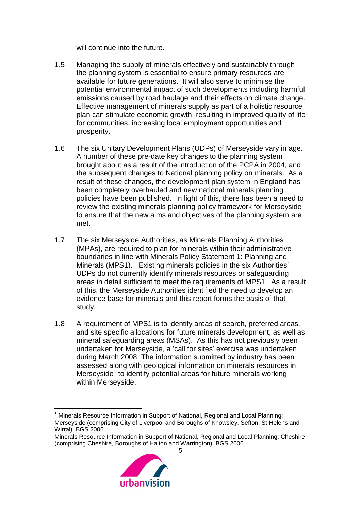will continue into the future.

- 1.5 Managing the supply of minerals effectively and sustainably through the planning system is essential to ensure primary resources are available for future generations. It will also serve to minimise the potential environmental impact of such developments including harmful emissions caused by road haulage and their effects on climate change. Effective management of minerals supply as part of a holistic resource plan can stimulate economic growth, resulting in improved quality of life for communities, increasing local employment opportunities and prosperity.
- 1.6 The six Unitary Development Plans (UDPs) of Merseyside vary in age. A number of these pre-date key changes to the planning system brought about as a result of the introduction of the PCPA in 2004, and the subsequent changes to National planning policy on minerals. As a result of these changes, the development plan system in England has been completely overhauled and new national minerals planning policies have been published. In light of this, there has been a need to review the existing minerals planning policy framework for Merseyside to ensure that the new aims and objectives of the planning system are met.
- 1.7 The six Merseyside Authorities, as Minerals Planning Authorities (MPAs), are required to plan for minerals within their administrative boundaries in line with Minerals Policy Statement 1: Planning and Minerals (MPS1). Existing minerals policies in the six Authorities' UDPs do not currently identify minerals resources or safeguarding areas in detail sufficient to meet the requirements of MPS1. As a result of this, the Merseyside Authorities identified the need to develop an evidence base for minerals and this report forms the basis of that study.
- 1.8 A requirement of MPS1 is to identify areas of search, preferred areas, and site specific allocations for future minerals development, as well as mineral safeguarding areas (MSAs). As this has not previously been undertaken for Merseyside, a 'call for sites' exercise was undertaken during March 2008. The information submitted by industry has been assessed along with geological information on minerals resources in Merseyside<sup>1</sup> to identify potential areas for future minerals working within Merseyside.

<sup>5</sup> Minerals Resource Information in Support of National, Regional and Local Planning: Cheshire (comprising Cheshire, Boroughs of Halton and Warrington). BGS 2006



<sup>&</sup>lt;sup>1</sup> Minerals Resource Information in Support of National, Regional and Local Planning: Merseyside (comprising City of Liverpool and Boroughs of Knowsley, Sefton, St Helens and Wirral). BGS 2006.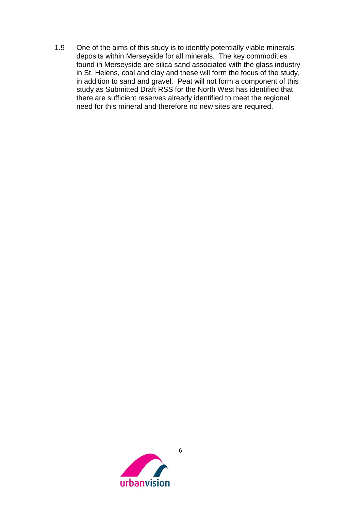1.9 One of the aims of this study is to identify potentially viable minerals deposits within Merseyside for all minerals. The key commodities found in Merseyside are silica sand associated with the glass industry in St. Helens, coal and clay and these will form the focus of the study, in addition to sand and gravel. Peat will not form a component of this study as Submitted Draft RSS for the North West has identified that there are sufficient reserves already identified to meet the regional need for this mineral and therefore no new sites are required.

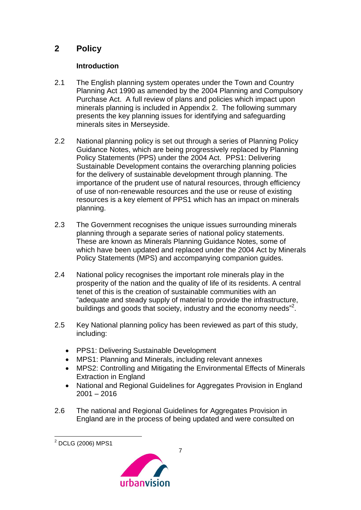# <span id="page-7-0"></span>**2 Policy**

### **Introduction**

- 2.1 The English planning system operates under the Town and Country Planning Act 1990 as amended by the 2004 Planning and Compulsory Purchase Act. A full review of plans and policies which impact upon minerals planning is included in Appendix 2. The following summary presents the key planning issues for identifying and safeguarding minerals sites in Merseyside.
- 2.2 National planning policy is set out through a series of Planning Policy Guidance Notes, which are being progressively replaced by Planning Policy Statements (PPS) under the 2004 Act. PPS1: Delivering Sustainable Development contains the overarching planning policies for the delivery of sustainable development through planning. The importance of the prudent use of natural resources, through efficiency of use of non-renewable resources and the use or reuse of existing resources is a key element of PPS1 which has an impact on minerals planning.
- 2.3 The Government recognises the unique issues surrounding minerals planning through a separate series of national policy statements. These are known as Minerals Planning Guidance Notes, some of which have been updated and replaced under the 2004 Act by Minerals Policy Statements (MPS) and accompanying companion guides.
- 2.4 National policy recognises the important role minerals play in the prosperity of the nation and the quality of life of its residents. A central tenet of this is the creation of sustainable communities with an "adequate and steady supply of material to provide the infrastructure, buildings and goods that society, industry and the economy needs"<sup>2</sup>.
- 2.5 Key National planning policy has been reviewed as part of this study, including:
	- PPS1: Delivering Sustainable Development
	- MPS1: Planning and Minerals, including relevant annexes
	- MPS2: Controlling and Mitigating the Environmental Effects of Minerals Extraction in England
	- National and Regional Guidelines for Aggregates Provision in England  $2001 - 2016$
- 2.6 The national and Regional Guidelines for Aggregates Provision in England are in the process of being updated and were consulted on

<sup>&</sup>lt;u>.</u> <sup>2</sup> DCLG (2006) MPS1

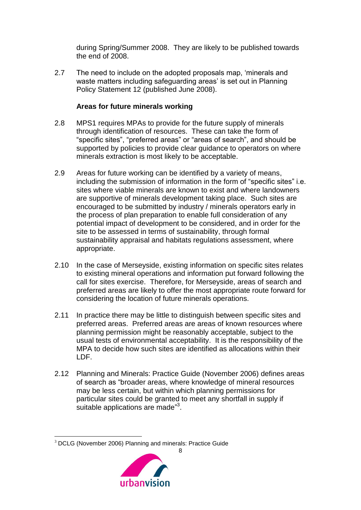during Spring/Summer 2008. They are likely to be published towards the end of 2008.

2.7 The need to include on the adopted proposals map, 'minerals and waste matters including safeguarding areas' is set out in Planning Policy Statement 12 (published June 2008).

#### **Areas for future minerals working**

- 2.8 MPS1 requires MPAs to provide for the future supply of minerals through identification of resources. These can take the form of "specific sites", "preferred areas" or "areas of search", and should be supported by policies to provide clear guidance to operators on where minerals extraction is most likely to be acceptable.
- 2.9 Areas for future working can be identified by a variety of means, including the submission of information in the form of "specific sites" i.e. sites where viable minerals are known to exist and where landowners are supportive of minerals development taking place. Such sites are encouraged to be submitted by industry / minerals operators early in the process of plan preparation to enable full consideration of any potential impact of development to be considered, and in order for the site to be assessed in terms of sustainability, through formal sustainability appraisal and habitats regulations assessment, where appropriate.
- 2.10 In the case of Merseyside, existing information on specific sites relates to existing mineral operations and information put forward following the call for sites exercise. Therefore, for Merseyside, areas of search and preferred areas are likely to offer the most appropriate route forward for considering the location of future minerals operations.
- 2.11 In practice there may be little to distinguish between specific sites and preferred areas. Preferred areas are areas of known resources where planning permission might be reasonably acceptable, subject to the usual tests of environmental acceptability. It is the responsibility of the MPA to decide how such sites are identified as allocations within their LDF.
- 2.12 Planning and Minerals: Practice Guide (November 2006) defines areas of search as "broader areas, where knowledge of mineral resources may be less certain, but within which planning permissions for particular sites could be granted to meet any shortfall in supply if suitable applications are made"<sup>3</sup>.

8



<sup>3</sup> DCLG (November 2006) Planning and minerals: Practice Guide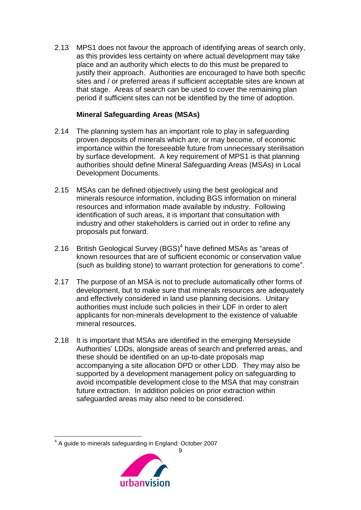2.13 MPS1 does not favour the approach of identifying areas of search only, as this provides less certainty on where actual development may take place and an authority which elects to do this must be prepared to justify their approach. Authorities are encouraged to have both specific sites and / or preferred areas if sufficient acceptable sites are known at that stage. Areas of search can be used to cover the remaining plan period if sufficient sites can not be identified by the time of adoption.

#### **Mineral Safeguarding Areas (MSAs)**

- 2.14 The planning system has an important role to play in safeguarding proven deposits of minerals which are, or may become, of economic importance within the foreseeable future from unnecessary sterilisation by surface development. A key requirement of MPS1 is that planning authorities should define Mineral Safeguarding Areas (MSAs) in Local Development Documents.
- 2.15 MSAs can be defined objectively using the best geological and minerals resource information, including BGS information on mineral resources and information made available by industry. Following identification of such areas, it is important that consultation with industry and other stakeholders is carried out in order to refine any proposals put forward.
- 2.16 British Geological Survey (BGS)<sup>4</sup> have defined MSAs as "areas of known resources that are of sufficient economic or conservation value (such as building stone) to warrant protection for generations to come".
- 2.17 The purpose of an MSA is not to preclude automatically other forms of development, but to make sure that minerals resources are adequately and effectively considered in land use planning decisions. Unitary authorities must include such policies in their LDF in order to alert applicants for non-minerals development to the existence of valuable mineral resources.
- 2.18 It is important that MSAs are identified in the emerging Merseyside Authorities' LDDs, alongside areas of search and preferred areas, and these should be identified on an up-to-date proposals map accompanying a site allocation DPD or other LDD. They may also be supported by a development management policy on safeguarding to avoid incompatible development close to the MSA that may constrain future extraction. In addition policies on prior extraction within safeguarded areas may also need to be considered.

<u>.</u>



<sup>9</sup> <sup>4</sup> A guide to minerals safeguarding in England: October 2007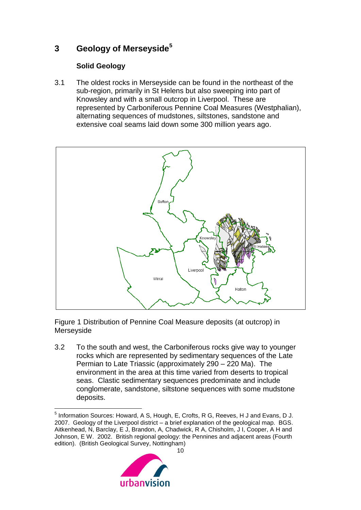# <span id="page-10-0"></span>**3 Geology of Merseyside<sup>5</sup>**

# **Solid Geology**

3.1 The oldest rocks in Merseyside can be found in the northeast of the sub-region, primarily in St Helens but also sweeping into part of Knowsley and with a small outcrop in Liverpool. These are represented by Carboniferous Pennine Coal Measures (Westphalian), alternating sequences of mudstones, siltstones, sandstone and extensive coal seams laid down some 300 million years ago.



<span id="page-10-1"></span>Figure 1 Distribution of Pennine Coal Measure deposits (at outcrop) in Merseyside

3.2 To the south and west, the Carboniferous rocks give way to younger rocks which are represented by sedimentary sequences of the Late Permian to Late Triassic (approximately 290 – 220 Ma). The environment in the area at this time varied from deserts to tropical seas. Clastic sedimentary sequences predominate and include conglomerate, sandstone, siltstone sequences with some mudstone deposits.

 5 Information Sources: Howard, A S, Hough, E, Crofts, R G, Reeves, H J and Evans, D J. 2007. Geology of the Liverpool district – a brief explanation of the geological map. BGS. Aitkenhead, N, Barclay, E J, Brandon, A, Chadwick, R A, Chisholm, J I, Cooper, A H and Johnson, E W. 2002. British regional geology: the Pennines and adjacent areas (Fourth edition). (British Geological Survey, Nottingham)

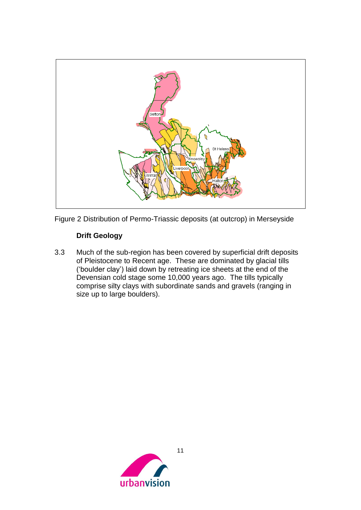

<span id="page-11-0"></span>Figure 2 Distribution of Permo-Triassic deposits (at outcrop) in Merseyside

### **Drift Geology**

3.3 Much of the sub-region has been covered by superficial drift deposits of Pleistocene to Recent age. These are dominated by glacial tills ('boulder clay') laid down by retreating ice sheets at the end of the Devensian cold stage some 10,000 years ago. The tills typically comprise silty clays with subordinate sands and gravels (ranging in size up to large boulders).

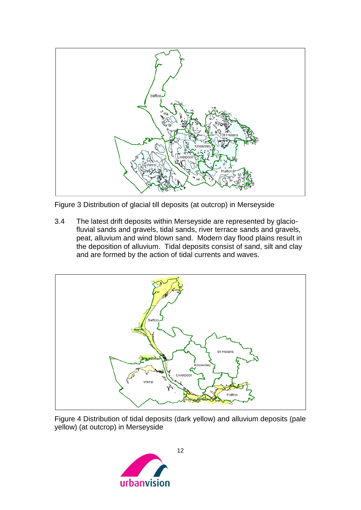

<span id="page-12-0"></span>Figure 3 Distribution of glacial till deposits (at outcrop) in Merseyside

3.4 The latest drift deposits within Merseyside are represented by glaciofluvial sands and gravels, tidal sands, river terrace sands and gravels, peat, alluvium and wind blown sand. Modern day flood plains result in the deposition of alluvium. Tidal deposits consist of sand, silt and clay and are formed by the action of tidal currents and waves.



<span id="page-12-1"></span>Figure 4 Distribution of tidal deposits (dark yellow) and alluvium deposits (pale yellow) (at outcrop) in Merseyside

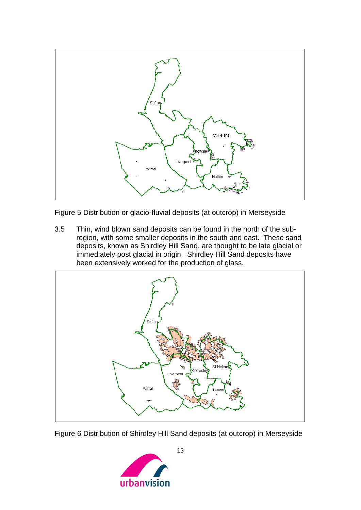

<span id="page-13-0"></span>Figure 5 Distribution or glacio-fluvial deposits (at outcrop) in Merseyside

3.5 Thin, wind blown sand deposits can be found in the north of the subregion, with some smaller deposits in the south and east. These sand deposits, known as Shirdley Hill Sand, are thought to be late glacial or immediately post glacial in origin. Shirdley Hill Sand deposits have been extensively worked for the production of glass.



<span id="page-13-1"></span>Figure 6 Distribution of Shirdley Hill Sand deposits (at outcrop) in Merseyside

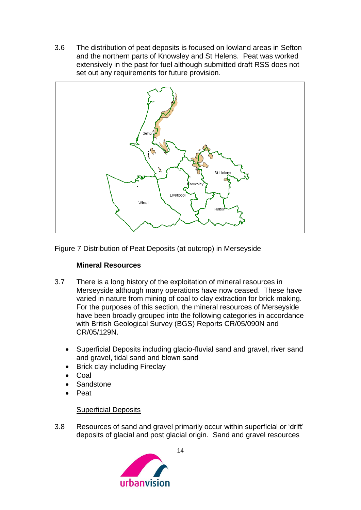3.6 The distribution of peat deposits is focused on lowland areas in Sefton and the northern parts of Knowsley and St Helens. Peat was worked extensively in the past for fuel although submitted draft RSS does not set out any requirements for future provision.



<span id="page-14-0"></span>Figure 7 Distribution of Peat Deposits (at outcrop) in Merseyside

#### **Mineral Resources**

- 3.7 There is a long history of the exploitation of mineral resources in Merseyside although many operations have now ceased. These have varied in nature from mining of coal to clay extraction for brick making. For the purposes of this section, the mineral resources of Merseyside have been broadly grouped into the following categories in accordance with British Geological Survey (BGS) Reports CR/05/090N and CR/05/129N.
	- Superficial Deposits including glacio-fluvial sand and gravel, river sand and gravel, tidal sand and blown sand
	- Brick clay including Fireclay
	- Coal
	- **Sandstone**
	- Peat

#### Superficial Deposits

3.8 Resources of sand and gravel primarily occur within superficial or 'drift' deposits of glacial and post glacial origin. Sand and gravel resources

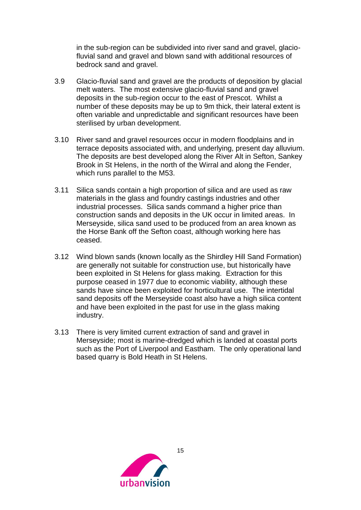in the sub-region can be subdivided into river sand and gravel, glaciofluvial sand and gravel and blown sand with additional resources of bedrock sand and gravel.

- 3.9 Glacio-fluvial sand and gravel are the products of deposition by glacial melt waters. The most extensive glacio-fluvial sand and gravel deposits in the sub-region occur to the east of Prescot. Whilst a number of these deposits may be up to 9m thick, their lateral extent is often variable and unpredictable and significant resources have been sterilised by urban development.
- 3.10 River sand and gravel resources occur in modern floodplains and in terrace deposits associated with, and underlying, present day alluvium. The deposits are best developed along the River Alt in Sefton, Sankey Brook in St Helens, in the north of the Wirral and along the Fender, which runs parallel to the M53.
- 3.11 Silica sands contain a high proportion of silica and are used as raw materials in the glass and foundry castings industries and other industrial processes. Silica sands command a higher price than construction sands and deposits in the UK occur in limited areas. In Merseyside, silica sand used to be produced from an area known as the Horse Bank off the Sefton coast, although working here has ceased.
- 3.12 Wind blown sands (known locally as the Shirdley Hill Sand Formation) are generally not suitable for construction use, but historically have been exploited in St Helens for glass making. Extraction for this purpose ceased in 1977 due to economic viability, although these sands have since been exploited for horticultural use. The intertidal sand deposits off the Merseyside coast also have a high silica content and have been exploited in the past for use in the glass making industry.
- 3.13 There is very limited current extraction of sand and gravel in Merseyside; most is marine-dredged which is landed at coastal ports such as the Port of Liverpool and Eastham. The only operational land based quarry is Bold Heath in St Helens.

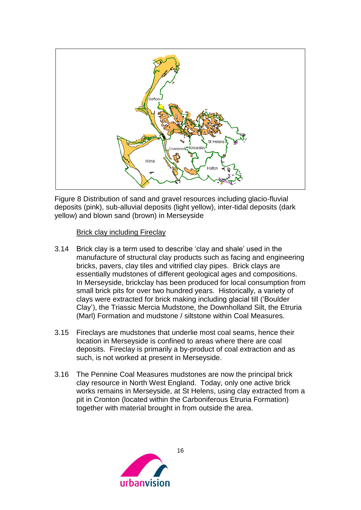

<span id="page-16-0"></span>Figure 8 Distribution of sand and gravel resources including glacio-fluvial deposits (pink), sub-alluvial deposits (light yellow), inter-tidal deposits (dark yellow) and blown sand (brown) in Merseyside

#### Brick clay including Fireclay

- 3.14 Brick clay is a term used to describe 'clay and shale' used in the manufacture of structural clay products such as facing and engineering bricks, pavers, clay tiles and vitrified clay pipes. Brick clays are essentially mudstones of different geological ages and compositions. In Merseyside, brickclay has been produced for local consumption from small brick pits for over two hundred years. Historically, a variety of clays were extracted for brick making including glacial till ('Boulder Clay'), the Triassic Mercia Mudstone, the Downholland Silt, the Etruria (Marl) Formation and mudstone / siltstone within Coal Measures.
- 3.15 Fireclays are mudstones that underlie most coal seams, hence their location in Merseyside is confined to areas where there are coal deposits. Fireclay is primarily a by-product of coal extraction and as such, is not worked at present in Merseyside.
- 3.16 The Pennine Coal Measures mudstones are now the principal brick clay resource in North West England. Today, only one active brick works remains in Merseyside, at St Helens, using clay extracted from a pit in Cronton (located within the Carboniferous Etruria Formation) together with material brought in from outside the area.

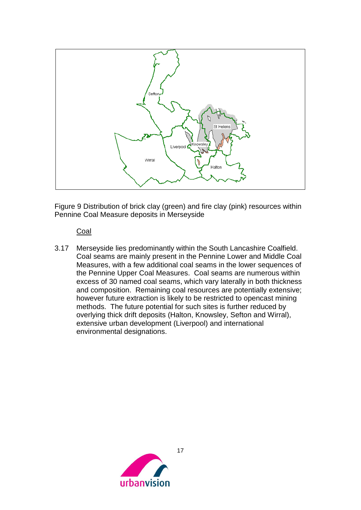

<span id="page-17-0"></span>Figure 9 Distribution of brick clay (green) and fire clay (pink) resources within Pennine Coal Measure deposits in Merseyside

#### Coal

3.17 Merseyside lies predominantly within the South Lancashire Coalfield. Coal seams are mainly present in the Pennine Lower and Middle Coal Measures, with a few additional coal seams in the lower sequences of the Pennine Upper Coal Measures. Coal seams are numerous within excess of 30 named coal seams, which vary laterally in both thickness and composition. Remaining coal resources are potentially extensive; however future extraction is likely to be restricted to opencast mining methods. The future potential for such sites is further reduced by overlying thick drift deposits (Halton, Knowsley, Sefton and Wirral), extensive urban development (Liverpool) and international environmental designations.

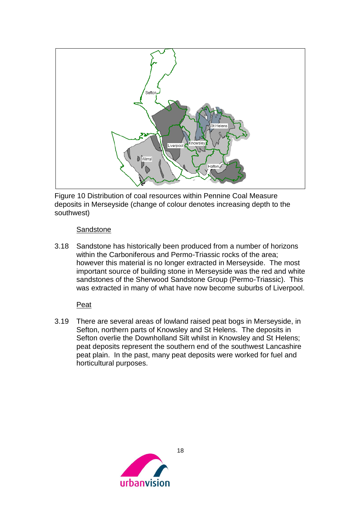

<span id="page-18-0"></span>Figure 10 Distribution of coal resources within Pennine Coal Measure deposits in Merseyside (change of colour denotes increasing depth to the southwest)

#### **Sandstone**

3.18 Sandstone has historically been produced from a number of horizons within the Carboniferous and Permo-Triassic rocks of the area; however this material is no longer extracted in Merseyside. The most important source of building stone in Merseyside was the red and white sandstones of the Sherwood Sandstone Group (Permo-Triassic). This was extracted in many of what have now become suburbs of Liverpool.

#### Peat

3.19 There are several areas of lowland raised peat bogs in Merseyside, in Sefton, northern parts of Knowsley and St Helens. The deposits in Sefton overlie the Downholland Silt whilst in Knowsley and St Helens; peat deposits represent the southern end of the southwest Lancashire peat plain. In the past, many peat deposits were worked for fuel and horticultural purposes.

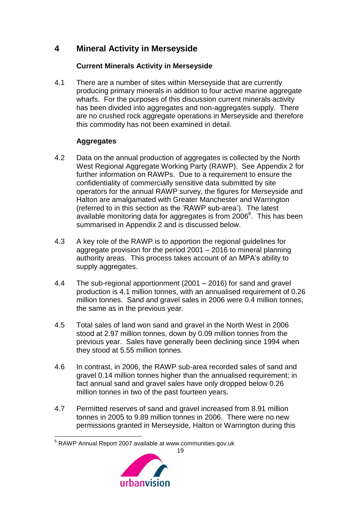# <span id="page-19-0"></span>**4 Mineral Activity in Merseyside**

### **Current Minerals Activity in Merseyside**

4.1 There are a number of sites within Merseyside that are currently producing primary minerals in addition to four active marine aggregate wharfs. For the purposes of this discussion current minerals activity has been divided into aggregates and non-aggregates supply. There are no crushed rock aggregate operations in Merseyside and therefore this commodity has not been examined in detail.

# **Aggregates**

- 4.2 Data on the annual production of aggregates is collected by the North West Regional Aggregate Working Party (RAWP). See Appendix 2 for further information on RAWPs. Due to a requirement to ensure the confidentiality of commercially sensitive data submitted by site operators for the annual RAWP survey, the figures for Merseyside and Halton are amalgamated with Greater Manchester and Warrington (referred to in this section as the 'RAWP sub-area'). The latest available monitoring data for aggregates is from 2006<sup>6</sup>. This has been summarised in Appendix 2 and is discussed below.
- 4.3 A key role of the RAWP is to apportion the regional guidelines for aggregate provision for the period 2001 – 2016 to mineral planning authority areas. This process takes account of an MPA's ability to supply aggregates.
- 4.4 The sub-regional apportionment (2001 2016) for sand and gravel production is 4.1 million tonnes, with an annualised requirement of 0.26 million tonnes. Sand and gravel sales in 2006 were 0.4 million tonnes, the same as in the previous year.
- 4.5 Total sales of land won sand and gravel in the North West in 2006 stood at 2.97 million tonnes, down by 0.09 million tonnes from the previous year. Sales have generally been declining since 1994 when they stood at 5.55 million tonnes.
- 4.6 In contrast, in 2006, the RAWP sub-area recorded sales of sand and gravel 0.14 million tonnes higher than the annualised requirement; in fact annual sand and gravel sales have only dropped below 0.26 million tonnes in two of the past fourteen years.
- 4.7 Permitted reserves of sand and gravel increased from 8.91 million tonnes in 2005 to 9.89 million tonnes in 2006. There were no new permissions granted in Merseyside, Halton or Warrington during this

<sup>&</sup>lt;u>.</u> <sup>6</sup> RAWP Annual Report 2007 available at www.communities.gov.uk

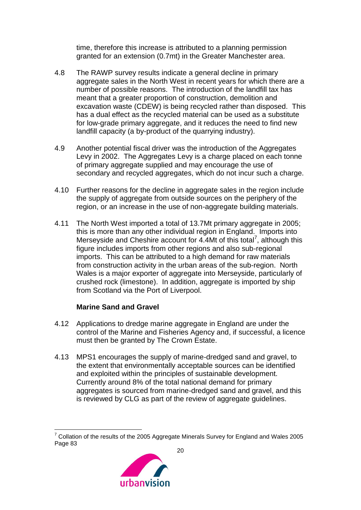time, therefore this increase is attributed to a planning permission granted for an extension (0.7mt) in the Greater Manchester area.

- 4.8 The RAWP survey results indicate a general decline in primary aggregate sales in the North West in recent years for which there are a number of possible reasons. The introduction of the landfill tax has meant that a greater proportion of construction, demolition and excavation waste (CDEW) is being recycled rather than disposed. This has a dual effect as the recycled material can be used as a substitute for low-grade primary aggregate, and it reduces the need to find new landfill capacity (a by-product of the quarrying industry).
- 4.9 Another potential fiscal driver was the introduction of the Aggregates Levy in 2002. The Aggregates Levy is a charge placed on each tonne of primary aggregate supplied and may encourage the use of secondary and recycled aggregates, which do not incur such a charge.
- 4.10 Further reasons for the decline in aggregate sales in the region include the supply of aggregate from outside sources on the periphery of the region, or an increase in the use of non-aggregate building materials.
- 4.11 The North West imported a total of 13.7Mt primary aggregate in 2005; this is more than any other individual region in England. Imports into Merseyside and Cheshire account for 4.4Mt of this total<sup>7</sup>, although this figure includes imports from other regions and also sub-regional imports. This can be attributed to a high demand for raw materials from construction activity in the urban areas of the sub-region. North Wales is a major exporter of aggregate into Merseyside, particularly of crushed rock (limestone). In addition, aggregate is imported by ship from Scotland via the Port of Liverpool.

#### **Marine Sand and Gravel**

- 4.12 Applications to dredge marine aggregate in England are under the control of the Marine and Fisheries Agency and, if successful, a licence must then be granted by The Crown Estate.
- 4.13 MPS1 encourages the supply of marine-dredged sand and gravel, to the extent that environmentally acceptable sources can be identified and exploited within the principles of sustainable development. Currently around 8% of the total national demand for primary aggregates is sourced from marine-dredged sand and gravel, and this is reviewed by CLG as part of the review of aggregate guidelines.

 $7$  Collation of the results of the 2005 Aggregate Minerals Survey for England and Wales 2005 Page 83

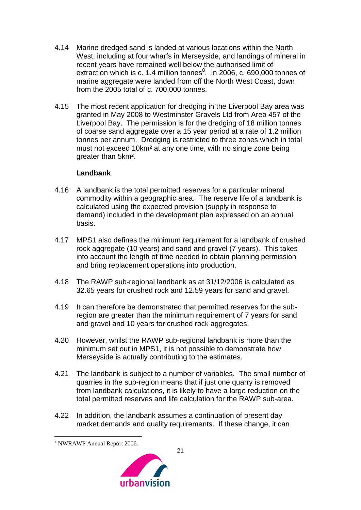- 4.14 Marine dredged sand is landed at various locations within the North West, including at four wharfs in Merseyside, and landings of mineral in recent years have remained well below the authorised limit of extraction which is c. 1.4 million tonnes $8$ . In 2006, c. 690,000 tonnes of marine aggregate were landed from off the North West Coast, down from the 2005 total of c. 700,000 tonnes.
- 4.15 The most recent application for dredging in the Liverpool Bay area was granted in May 2008 to Westminster Gravels Ltd from Area 457 of the Liverpool Bay. The permission is for the dredging of 18 million tonnes of coarse sand aggregate over a 15 year period at a rate of 1.2 million tonnes per annum. Dredging is restricted to three zones which in total must not exceed 10km² at any one time, with no single zone being greater than 5km².

#### **Landbank**

- 4.16 A landbank is the total permitted reserves for a particular mineral commodity within a geographic area. The reserve life of a landbank is calculated using the expected provision (supply in response to demand) included in the development plan expressed on an annual basis.
- 4.17 MPS1 also defines the minimum requirement for a landbank of crushed rock aggregate (10 years) and sand and gravel (7 years). This takes into account the length of time needed to obtain planning permission and bring replacement operations into production.
- 4.18 The RAWP sub-regional landbank as at 31/12/2006 is calculated as 32.65 years for crushed rock and 12.59 years for sand and gravel.
- 4.19 It can therefore be demonstrated that permitted reserves for the subregion are greater than the minimum requirement of 7 years for sand and gravel and 10 years for crushed rock aggregates.
- 4.20 However, whilst the RAWP sub-regional landbank is more than the minimum set out in MPS1, it is not possible to demonstrate how Merseyside is actually contributing to the estimates.
- 4.21 The landbank is subject to a number of variables. The small number of quarries in the sub-region means that if just one quarry is removed from landbank calculations, it is likely to have a large reduction on the total permitted reserves and life calculation for the RAWP sub-area.
- 4.22 In addition, the landbank assumes a continuation of present day market demands and quality requirements. If these change, it can

<sup>&</sup>lt;u>.</u> <sup>8</sup> NWRAWP Annual Report 2006.

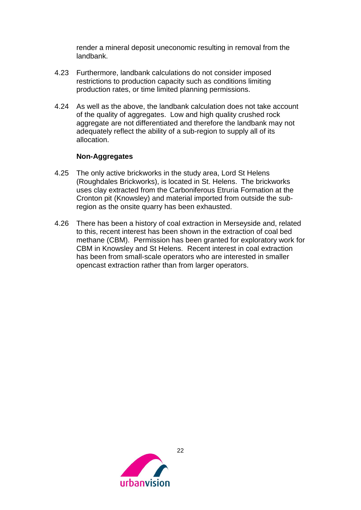render a mineral deposit uneconomic resulting in removal from the landbank.

- 4.23 Furthermore, landbank calculations do not consider imposed restrictions to production capacity such as conditions limiting production rates, or time limited planning permissions.
- 4.24 As well as the above, the landbank calculation does not take account of the quality of aggregates. Low and high quality crushed rock aggregate are not differentiated and therefore the landbank may not adequately reflect the ability of a sub-region to supply all of its allocation.

#### **Non-Aggregates**

- 4.25 The only active brickworks in the study area, Lord St Helens (Roughdales Brickworks), is located in St. Helens. The brickworks uses clay extracted from the Carboniferous Etruria Formation at the Cronton pit (Knowsley) and material imported from outside the subregion as the onsite quarry has been exhausted.
- 4.26 There has been a history of coal extraction in Merseyside and, related to this, recent interest has been shown in the extraction of coal bed methane (CBM). Permission has been granted for exploratory work for CBM in Knowsley and St Helens. Recent interest in coal extraction has been from small-scale operators who are interested in smaller opencast extraction rather than from larger operators.

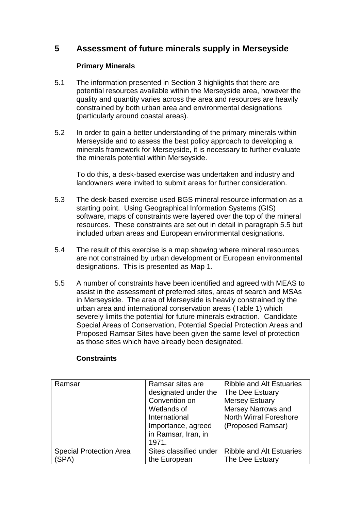# <span id="page-23-0"></span>**5 Assessment of future minerals supply in Merseyside**

#### **Primary Minerals**

- 5.1 The information presented in Section 3 highlights that there are potential resources available within the Merseyside area, however the quality and quantity varies across the area and resources are heavily constrained by both urban area and environmental designations (particularly around coastal areas).
- 5.2 In order to gain a better understanding of the primary minerals within Merseyside and to assess the best policy approach to developing a minerals framework for Merseyside, it is necessary to further evaluate the minerals potential within Merseyside.

To do this, a desk-based exercise was undertaken and industry and landowners were invited to submit areas for further consideration.

- 5.3 The desk-based exercise used BGS mineral resource information as a starting point. Using Geographical Information Systems (GIS) software, maps of constraints were layered over the top of the mineral resources. These constraints are set out in detail in paragraph 5.5 but included urban areas and European environmental designations.
- 5.4 The result of this exercise is a map showing where mineral resources are not constrained by urban development or European environmental designations. This is presented as Map 1.
- 5.5 A number of constraints have been identified and agreed with MEAS to assist in the assessment of preferred sites, areas of search and MSAs in Merseyside. The area of Merseyside is heavily constrained by the urban area and international conservation areas (Table 1) which severely limits the potential for future minerals extraction. Candidate Special Areas of Conservation, Potential Special Protection Areas and Proposed Ramsar Sites have been given the same level of protection as those sites which have already been designated.

| Ramsar                         | Ramsar sites are       | <b>Ribble and Alt Estuaries</b> |
|--------------------------------|------------------------|---------------------------------|
|                                | designated under the   | The Dee Estuary                 |
|                                | Convention on          | <b>Mersey Estuary</b>           |
|                                | Wetlands of            | <b>Mersey Narrows and</b>       |
|                                | International          | <b>North Wirral Foreshore</b>   |
|                                | Importance, agreed     | (Proposed Ramsar)               |
|                                | in Ramsar, Iran, in    |                                 |
|                                | 1971.                  |                                 |
| <b>Special Protection Area</b> | Sites classified under | <b>Ribble and Alt Estuaries</b> |
| (SPA)                          | the European           | The Dee Estuary                 |

#### **Constraints**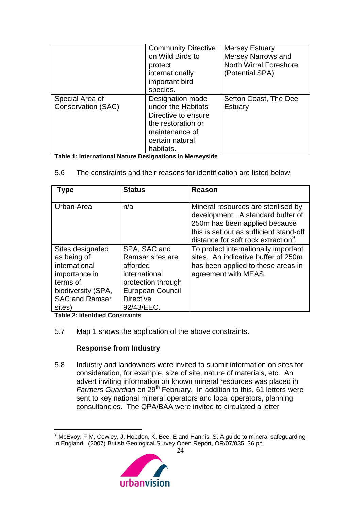|                                              | <b>Community Directive</b><br>on Wild Birds to<br>protect<br>internationally<br>important bird<br>species.                            | <b>Mersey Estuary</b><br><b>Mersey Narrows and</b><br><b>North Wirral Foreshore</b><br>(Potential SPA) |
|----------------------------------------------|---------------------------------------------------------------------------------------------------------------------------------------|--------------------------------------------------------------------------------------------------------|
| Special Area of<br><b>Conservation (SAC)</b> | Designation made<br>under the Habitats<br>Directive to ensure<br>the restoration or<br>maintenance of<br>certain natural<br>habitats. | Sefton Coast, The Dee<br>Estuary                                                                       |

**Table 1: International Nature Designations in Merseyside**

|  | 5.6 | The constraints and their reasons for identification are listed below: |
|--|-----|------------------------------------------------------------------------|
|--|-----|------------------------------------------------------------------------|

| Type                                                                                                                                   | <b>Status</b>                                                                                                                             | Reason                                                                                                                                                                                                   |
|----------------------------------------------------------------------------------------------------------------------------------------|-------------------------------------------------------------------------------------------------------------------------------------------|----------------------------------------------------------------------------------------------------------------------------------------------------------------------------------------------------------|
| Urban Area                                                                                                                             | n/a                                                                                                                                       | Mineral resources are sterilised by<br>development. A standard buffer of<br>250m has been applied because<br>this is set out as sufficient stand-off<br>distance for soft rock extraction <sup>9</sup> . |
| Sites designated<br>as being of<br>international<br>importance in<br>terms of<br>biodiversity (SPA,<br><b>SAC and Ramsar</b><br>sites) | SPA, SAC and<br>Ramsar sites are<br>afforded<br>international<br>protection through<br>European Council<br><b>Directive</b><br>92/43/EEC. | To protect internationally important<br>sites. An indicative buffer of 250m<br>has been applied to these areas in<br>agreement with MEAS.                                                                |

**Table 2: Identified Constraints**

1

5.7 Map 1 shows the application of the above constraints.

# **Response from Industry**

5.8 Industry and landowners were invited to submit information on sites for consideration, for example, size of site, nature of materials, etc. An advert inviting information on known mineral resources was placed in *Farmers Guardian* on 29th February. In addition to this, 61 letters were sent to key national mineral operators and local operators, planning consultancies. The QPA/BAA were invited to circulated a letter

 $9$  McEvoy, F M, Cowley, J, Hobden, K, Bee, E and Hannis, S. A guide to mineral safeguarding in England. (2007) British Geological Survey Open Report, OR/07/035. 36 pp.

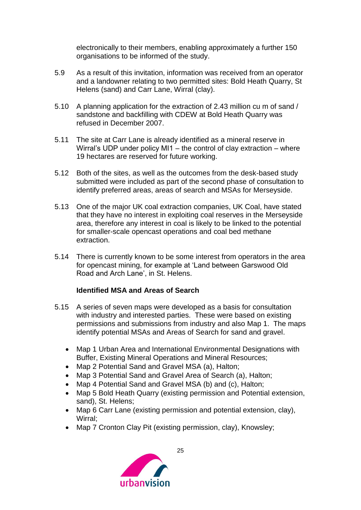electronically to their members, enabling approximately a further 150 organisations to be informed of the study.

- 5.9 As a result of this invitation, information was received from an operator and a landowner relating to two permitted sites: Bold Heath Quarry, St Helens (sand) and Carr Lane, Wirral (clay).
- 5.10 A planning application for the extraction of 2.43 million cu m of sand / sandstone and backfilling with CDEW at Bold Heath Quarry was refused in December 2007.
- 5.11 The site at Carr Lane is already identified as a mineral reserve in Wirral's UDP under policy MI1 – the control of clay extraction – where 19 hectares are reserved for future working.
- 5.12 Both of the sites, as well as the outcomes from the desk-based study submitted were included as part of the second phase of consultation to identify preferred areas, areas of search and MSAs for Merseyside.
- 5.13 One of the major UK coal extraction companies, UK Coal, have stated that they have no interest in exploiting coal reserves in the Merseyside area, therefore any interest in coal is likely to be linked to the potential for smaller-scale opencast operations and coal bed methane extraction.
- 5.14 There is currently known to be some interest from operators in the area for opencast mining, for example at 'Land between Garswood Old Road and Arch Lane', in St. Helens.

#### **Identified MSA and Areas of Search**

- 5.15 A series of seven maps were developed as a basis for consultation with industry and interested parties. These were based on existing permissions and submissions from industry and also Map 1. The maps identify potential MSAs and Areas of Search for sand and gravel.
	- Map 1 Urban Area and International Environmental Designations with Buffer, Existing Mineral Operations and Mineral Resources;
	- Map 2 Potential Sand and Gravel MSA (a), Halton;
	- Map 3 Potential Sand and Gravel Area of Search (a), Halton;
	- Map 4 Potential Sand and Gravel MSA (b) and (c), Halton;
	- Map 5 Bold Heath Quarry (existing permission and Potential extension, sand), St. Helens;
	- Map 6 Carr Lane (existing permission and potential extension, clay), Wirral;
	- Map 7 Cronton Clay Pit (existing permission, clay), Knowsley;

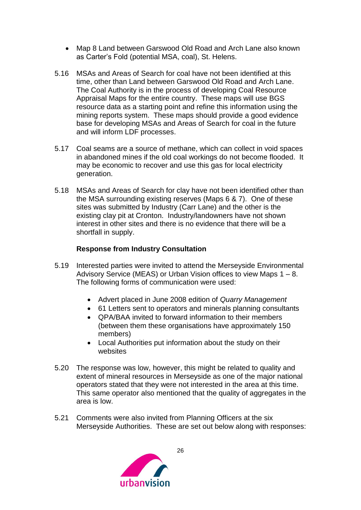- Map 8 Land between Garswood Old Road and Arch Lane also known as Carter's Fold (potential MSA, coal), St. Helens.
- 5.16 MSAs and Areas of Search for coal have not been identified at this time, other than Land between Garswood Old Road and Arch Lane. The Coal Authority is in the process of developing Coal Resource Appraisal Maps for the entire country. These maps will use BGS resource data as a starting point and refine this information using the mining reports system. These maps should provide a good evidence base for developing MSAs and Areas of Search for coal in the future and will inform LDF processes.
- 5.17 Coal seams are a source of methane, which can collect in void spaces in abandoned mines if the old coal workings do not become flooded. It may be economic to recover and use this gas for local electricity generation.
- 5.18 MSAs and Areas of Search for clay have not been identified other than the MSA surrounding existing reserves (Maps 6 & 7). One of these sites was submitted by Industry (Carr Lane) and the other is the existing clay pit at Cronton. Industry/landowners have not shown interest in other sites and there is no evidence that there will be a shortfall in supply.

#### **Response from Industry Consultation**

- 5.19 Interested parties were invited to attend the Merseyside Environmental Advisory Service (MEAS) or Urban Vision offices to view Maps 1 – 8. The following forms of communication were used:
	- Advert placed in June 2008 edition of *Quarry Management*
	- 61 Letters sent to operators and minerals planning consultants
	- QPA/BAA invited to forward information to their members (between them these organisations have approximately 150 members)
	- Local Authorities put information about the study on their websites
- 5.20 The response was low, however, this might be related to quality and extent of mineral resources in Merseyside as one of the major national operators stated that they were not interested in the area at this time. This same operator also mentioned that the quality of aggregates in the area is low.
- 5.21 Comments were also invited from Planning Officers at the six Merseyside Authorities. These are set out below along with responses:

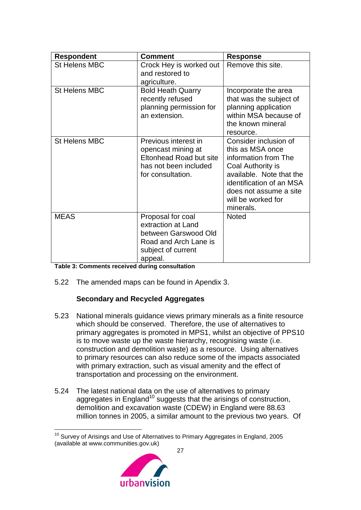| <b>Respondent</b>    | <b>Comment</b>                                                                                                            | <b>Response</b>                                                                                                                                                                                             |
|----------------------|---------------------------------------------------------------------------------------------------------------------------|-------------------------------------------------------------------------------------------------------------------------------------------------------------------------------------------------------------|
| <b>St Helens MBC</b> | Crock Hey is worked out<br>and restored to<br>agriculture.                                                                | Remove this site.                                                                                                                                                                                           |
| <b>St Helens MBC</b> | <b>Bold Heath Quarry</b><br>recently refused<br>planning permission for<br>an extension.                                  | Incorporate the area<br>that was the subject of<br>planning application<br>within MSA because of<br>the known mineral<br>resource.                                                                          |
| <b>St Helens MBC</b> | Previous interest in<br>opencast mining at<br>Eltonhead Road but site<br>has not been included<br>for consultation.       | Consider inclusion of<br>this as MSA once<br>information from The<br>Coal Authority is<br>available. Note that the<br>identification of an MSA<br>does not assume a site<br>will be worked for<br>minerals. |
| <b>MEAS</b>          | Proposal for coal<br>extraction at Land<br>between Garswood Old<br>Road and Arch Lane is<br>subject of current<br>appeal. | <b>Noted</b>                                                                                                                                                                                                |

**Table 3: Comments received during consultation**

5.22 The amended maps can be found in Apendix 3.

#### **Secondary and Recycled Aggregates**

- 5.23 National minerals guidance views primary minerals as a finite resource which should be conserved. Therefore, the use of alternatives to primary aggregates is promoted in MPS1, whilst an objective of PPS10 is to move waste up the waste hierarchy, recognising waste (i.e. construction and demolition waste) as a resource. Using alternatives to primary resources can also reduce some of the impacts associated with primary extraction, such as visual amenity and the effect of transportation and processing on the environment.
- 5.24 The latest national data on the use of alternatives to primary aggregates in England<sup>10</sup> suggests that the arisings of construction, demolition and excavation waste (CDEW) in England were 88.63 million tonnes in 2005, a similar amount to the previous two years. Of

 $10$  Survey of Arisings and Use of Alternatives to Primary Aggregates in England, 2005 (available at www.communities.gov.uk)

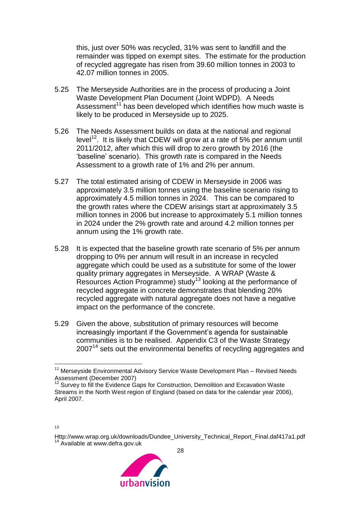this, just over 50% was recycled, 31% was sent to landfill and the remainder was tipped on exempt sites. The estimate for the production of recycled aggregate has risen from 39.60 million tonnes in 2003 to 42.07 million tonnes in 2005.

- 5.25 The Merseyside Authorities are in the process of producing a Joint Waste Development Plan Document (Joint WDPD). A Needs Assessment<sup>11</sup> has been developed which identifies how much waste is likely to be produced in Merseyside up to 2025.
- 5.26 The Needs Assessment builds on data at the national and regional level<sup>12</sup>. It is likely that CDEW will grow at a rate of 5% per annum until 2011/2012, after which this will drop to zero growth by 2016 (the 'baseline' scenario). This growth rate is compared in the Needs Assessment to a growth rate of 1% and 2% per annum.
- 5.27 The total estimated arising of CDEW in Merseyside in 2006 was approximately 3.5 million tonnes using the baseline scenario rising to approximately 4.5 million tonnes in 2024. This can be compared to the growth rates where the CDEW arisings start at approximately 3.5 million tonnes in 2006 but increase to approximately 5.1 million tonnes in 2024 under the 2% growth rate and around 4.2 million tonnes per annum using the 1% growth rate.
- 5.28 It is expected that the baseline growth rate scenario of 5% per annum dropping to 0% per annum will result in an increase in recycled aggregate which could be used as a substitute for some of the lower quality primary aggregates in Merseyside. A WRAP (Waste & Resources Action Programme) study<sup>13</sup> looking at the performance of recycled aggregate in concrete demonstrates that blending 20% recycled aggregate with natural aggregate does not have a negative impact on the performance of the concrete.
- 5.29 Given the above, substitution of primary resources will become increasingly important if the Government's agenda for sustainable communities is to be realised. Appendix C3 of the Waste Strategy  $2007<sup>14</sup>$  sets out the environmental benefits of recycling aggregates and

<u>.</u>

[Http://www.wrap.org.uk/downloads/Dundee\\_University\\_Technical\\_Report\\_Final.daf417a1.pdf](http://www.wrap.org.uk/downloads/Dundee_University_Technical_Report_Final.daf417a1.pdf)  $14$  Available at [www.defra.gov.uk](http://www.defra.gov.uk/)



<sup>&</sup>lt;sup>11</sup> Merseyside Environmental Advisory Service Waste Development Plan - Revised Needs Assessment (December 2007)

 $12$  Survey to fill the Evidence Gaps for Construction, Demolition and Excavation Waste Streams in the North West region of England (based on data for the calendar year 2006), April 2007.

<sup>13</sup>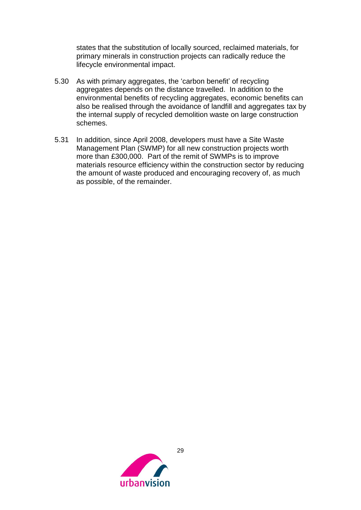states that the substitution of locally sourced, reclaimed materials, for primary minerals in construction projects can radically reduce the lifecycle environmental impact.

- 5.30 As with primary aggregates, the 'carbon benefit' of recycling aggregates depends on the distance travelled. In addition to the environmental benefits of recycling aggregates, economic benefits can also be realised through the avoidance of landfill and aggregates tax by the internal supply of recycled demolition waste on large construction schemes.
- 5.31 In addition, since April 2008, developers must have a Site Waste Management Plan (SWMP) for all new construction projects worth more than £300,000. Part of the remit of SWMPs is to improve materials resource efficiency within the construction sector by reducing the amount of waste produced and encouraging recovery of, as much as possible, of the remainder.

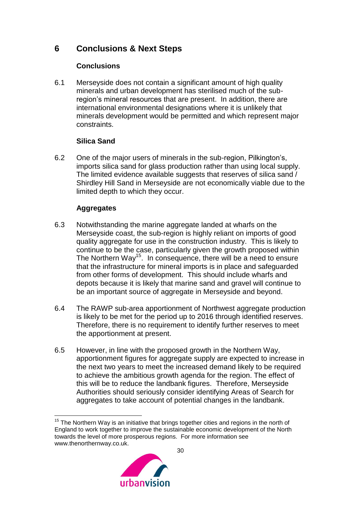# **6 Conclusions & Next Steps**

### <span id="page-30-0"></span>**Conclusions**

6.1 Merseyside does not contain a significant amount of high quality minerals and urban development has sterilised much of the subregion's mineral resources that are present. In addition, there are international environmental designations where it is unlikely that minerals development would be permitted and which represent major constraints.

### **Silica Sand**

6.2 One of the major users of minerals in the sub-region, Pilkington's, imports silica sand for glass production rather than using local supply. The limited evidence available suggests that reserves of silica sand / Shirdley Hill Sand in Merseyside are not economically viable due to the limited depth to which they occur.

# **Aggregates**

- 6.3 Notwithstanding the marine aggregate landed at wharfs on the Merseyside coast, the sub-region is highly reliant on imports of good quality aggregate for use in the construction industry. This is likely to continue to be the case, particularly given the growth proposed within The Northern Way<sup>15</sup>. In consequence, there will be a need to ensure that the infrastructure for mineral imports is in place and safeguarded from other forms of development. This should include wharfs and depots because it is likely that marine sand and gravel will continue to be an important source of aggregate in Merseyside and beyond.
- 6.4 The RAWP sub-area apportionment of Northwest aggregate production is likely to be met for the period up to 2016 through identified reserves. Therefore, there is no requirement to identify further reserves to meet the apportionment at present.
- 6.5 However, in line with the proposed growth in the Northern Way, apportionment figures for aggregate supply are expected to increase in the next two years to meet the increased demand likely to be required to achieve the ambitious growth agenda for the region. The effect of this will be to reduce the landbank figures. Therefore, Merseyside Authorities should seriously consider identifying Areas of Search for aggregates to take account of potential changes in the landbank.

<sup>&</sup>lt;u>.</u>  $15$  The Northern Way is an initiative that brings together cities and regions in the north of England to work together to improve the sustainable economic development of the North towards the level of more prosperous regions. For more information see www.thenorthernway.co.uk.

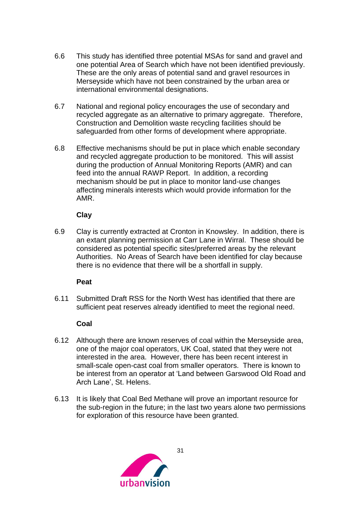- 6.6 This study has identified three potential MSAs for sand and gravel and one potential Area of Search which have not been identified previously. These are the only areas of potential sand and gravel resources in Merseyside which have not been constrained by the urban area or international environmental designations.
- 6.7 National and regional policy encourages the use of secondary and recycled aggregate as an alternative to primary aggregate. Therefore, Construction and Demolition waste recycling facilities should be safeguarded from other forms of development where appropriate.
- 6.8 Effective mechanisms should be put in place which enable secondary and recycled aggregate production to be monitored. This will assist during the production of Annual Monitoring Reports (AMR) and can feed into the annual RAWP Report. In addition, a recording mechanism should be put in place to monitor land-use changes affecting minerals interests which would provide information for the AMR.

#### **Clay**

6.9 Clay is currently extracted at Cronton in Knowsley. In addition, there is an extant planning permission at Carr Lane in Wirral. These should be considered as potential specific sites/preferred areas by the relevant Authorities. No Areas of Search have been identified for clay because there is no evidence that there will be a shortfall in supply.

#### **Peat**

6.11 Submitted Draft RSS for the North West has identified that there are sufficient peat reserves already identified to meet the regional need.

#### **Coal**

- 6.12 Although there are known reserves of coal within the Merseyside area, one of the major coal operators, UK Coal, stated that they were not interested in the area. However, there has been recent interest in small-scale open-cast coal from smaller operators. There is known to be interest from an operator at 'Land between Garswood Old Road and Arch Lane', St. Helens.
- 6.13 It is likely that Coal Bed Methane will prove an important resource for the sub-region in the future; in the last two years alone two permissions for exploration of this resource have been granted.

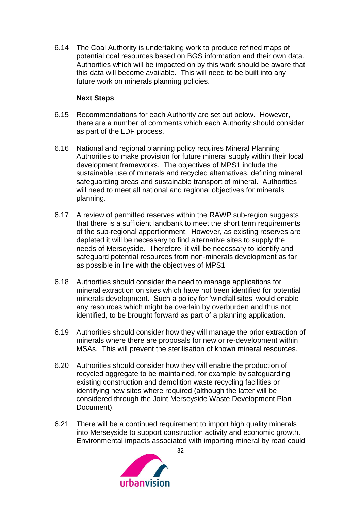6.14 The Coal Authority is undertaking work to produce refined maps of potential coal resources based on BGS information and their own data. Authorities which will be impacted on by this work should be aware that this data will become available. This will need to be built into any future work on minerals planning policies.

#### **Next Steps**

- 6.15 Recommendations for each Authority are set out below. However, there are a number of comments which each Authority should consider as part of the LDF process.
- 6.16 National and regional planning policy requires Mineral Planning Authorities to make provision for future mineral supply within their local development frameworks. The objectives of MPS1 include the sustainable use of minerals and recycled alternatives, defining mineral safeguarding areas and sustainable transport of mineral. Authorities will need to meet all national and regional objectives for minerals planning.
- 6.17 A review of permitted reserves within the RAWP sub-region suggests that there is a sufficient landbank to meet the short term requirements of the sub-regional apportionment. However, as existing reserves are depleted it will be necessary to find alternative sites to supply the needs of Merseyside. Therefore, it will be necessary to identify and safeguard potential resources from non-minerals development as far as possible in line with the objectives of MPS1
- 6.18 Authorities should consider the need to manage applications for mineral extraction on sites which have not been identified for potential minerals development. Such a policy for 'windfall sites' would enable any resources which might be overlain by overburden and thus not identified, to be brought forward as part of a planning application.
- 6.19 Authorities should consider how they will manage the prior extraction of minerals where there are proposals for new or re-development within MSAs. This will prevent the sterilisation of known mineral resources.
- 6.20 Authorities should consider how they will enable the production of recycled aggregate to be maintained, for example by safeguarding existing construction and demolition waste recycling facilities or identifying new sites where required (although the latter will be considered through the Joint Merseyside Waste Development Plan Document).
- 6.21 There will be a continued requirement to import high quality minerals into Merseyside to support construction activity and economic growth. Environmental impacts associated with importing mineral by road could

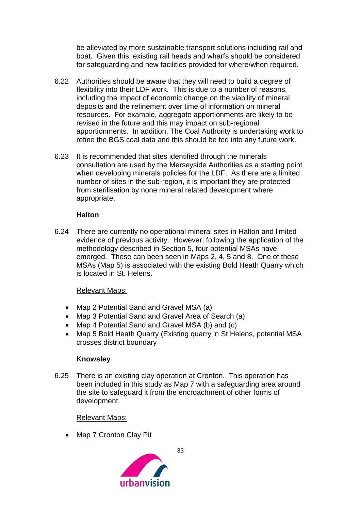be alleviated by more sustainable transport solutions including rail and boat. Given this, existing rail heads and wharfs should be considered for safeguarding and new facilities provided for where/when required.

- 6.22 Authorities should be aware that they will need to build a degree of flexibility into their LDF work. This is due to a number of reasons, including the impact of economic change on the viability of mineral deposits and the refinement over time of information on mineral resources. For example, aggregate apportionments are likely to be revised in the future and this may impact on sub-regional apportionments. In addition, The Coal Authority is undertaking work to refine the BGS coal data and this should be fed into any future work.
- 6.23 It is recommended that sites identified through the minerals consultation are used by the Merseyside Authorities as a starting point when developing minerals policies for the LDF. As there are a limited number of sites in the sub-region, it is important they are protected from sterilisation by none mineral related development where appropriate.

#### **Halton**

6.24 There are currently no operational mineral sites in Halton and limited evidence of previous activity. However, following the application of the methodology described in Section 5, four potential MSAs have emerged. These can been seen in Maps 2, 4, 5 and 8. One of these MSAs (Map 5) is associated with the existing Bold Heath Quarry which is located in St. Helens.

#### Relevant Maps:

- Map 2 Potential Sand and Gravel MSA (a)
- Map 3 Potential Sand and Gravel Area of Search (a)
- Map 4 Potential Sand and Gravel MSA (b) and (c)
- Map 5 Bold Heath Quarry (Existing quarry in St Helens, potential MSA crosses district boundary

#### **Knowsley**

6.25 There is an existing clay operation at Cronton. This operation has been included in this study as Map 7 with a safeguarding area around the site to safeguard it from the encroachment of other forms of development.

#### Relevant Maps:

• Map 7 Cronton Clay Pit

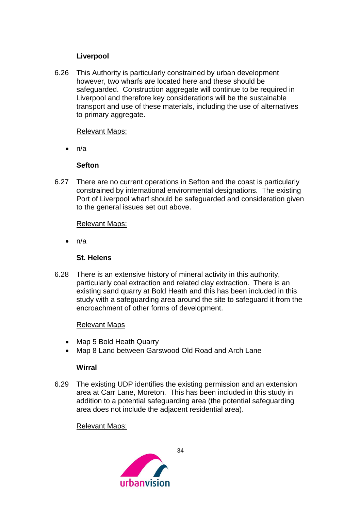#### **Liverpool**

6.26 This Authority is particularly constrained by urban development however, two wharfs are located here and these should be safeguarded. Construction aggregate will continue to be required in Liverpool and therefore key considerations will be the sustainable transport and use of these materials, including the use of alternatives to primary aggregate.

#### Relevant Maps:

 $\bullet$  n/a

#### **Sefton**

6.27 There are no current operations in Sefton and the coast is particularly constrained by international environmental designations. The existing Port of Liverpool wharf should be safeguarded and consideration given to the general issues set out above.

#### Relevant Maps:

n/a

#### **St. Helens**

6.28 There is an extensive history of mineral activity in this authority, particularly coal extraction and related clay extraction. There is an existing sand quarry at Bold Heath and this has been included in this study with a safeguarding area around the site to safeguard it from the encroachment of other forms of development.

#### Relevant Maps

- Map 5 Bold Heath Quarry
- Map 8 Land between Garswood Old Road and Arch Lane

#### **Wirral**

6.29 The existing UDP identifies the existing permission and an extension area at Carr Lane, Moreton. This has been included in this study in addition to a potential safeguarding area (the potential safeguarding area does not include the adjacent residential area).

#### Relevant Maps:

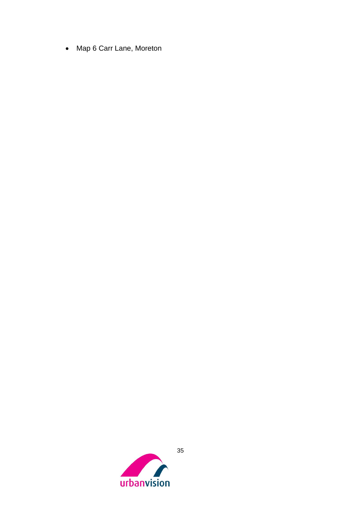<span id="page-35-0"></span>• Map 6 Carr Lane, Moreton

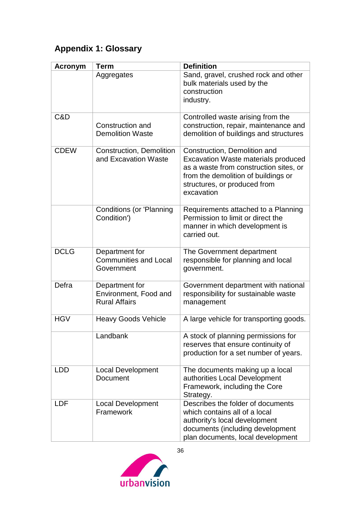# **Appendix 1: Glossary**

| <b>Acronym</b> | <b>Term</b>                                                     | <b>Definition</b>                                                                                                                                                                                         |
|----------------|-----------------------------------------------------------------|-----------------------------------------------------------------------------------------------------------------------------------------------------------------------------------------------------------|
|                | Aggregates                                                      | Sand, gravel, crushed rock and other<br>bulk materials used by the<br>construction<br>industry.                                                                                                           |
| C&D            | Construction and<br><b>Demolition Waste</b>                     | Controlled waste arising from the<br>construction, repair, maintenance and<br>demolition of buildings and structures                                                                                      |
| <b>CDEW</b>    | <b>Construction, Demolition</b><br>and Excavation Waste         | Construction, Demolition and<br><b>Excavation Waste materials produced</b><br>as a waste from construction sites, or<br>from the demolition of buildings or<br>structures, or produced from<br>excavation |
|                | <b>Conditions (or 'Planning</b><br>Condition')                  | Requirements attached to a Planning<br>Permission to limit or direct the<br>manner in which development is<br>carried out.                                                                                |
| <b>DCLG</b>    | Department for<br><b>Communities and Local</b><br>Government    | The Government department<br>responsible for planning and local<br>government.                                                                                                                            |
| Defra          | Department for<br>Environment, Food and<br><b>Rural Affairs</b> | Government department with national<br>responsibility for sustainable waste<br>management                                                                                                                 |
| <b>HGV</b>     | <b>Heavy Goods Vehicle</b>                                      | A large vehicle for transporting goods.                                                                                                                                                                   |
|                | Landbank                                                        | A stock of planning permissions for<br>reserves that ensure continuity of<br>production for a set number of years.                                                                                        |
| <b>LDD</b>     | <b>Local Development</b><br><b>Document</b>                     | The documents making up a local<br>authorities Local Development<br>Framework, including the Core<br>Strategy.                                                                                            |
| <b>LDF</b>     | <b>Local Development</b><br>Framework                           | Describes the folder of documents<br>which contains all of a local<br>authority's local development<br>documents (including development<br>plan documents, local development                              |

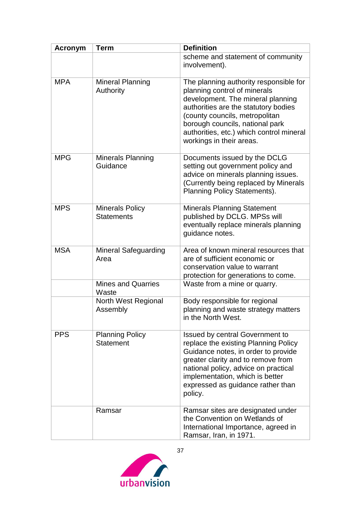| Acronym    | <b>Term</b>                                 | <b>Definition</b>                                                                                                                                                                                                                                                                                |
|------------|---------------------------------------------|--------------------------------------------------------------------------------------------------------------------------------------------------------------------------------------------------------------------------------------------------------------------------------------------------|
|            |                                             | scheme and statement of community<br>involvement).                                                                                                                                                                                                                                               |
| <b>MPA</b> | <b>Mineral Planning</b><br>Authority        | The planning authority responsible for<br>planning control of minerals<br>development. The mineral planning<br>authorities are the statutory bodies<br>(county councils, metropolitan<br>borough councils, national park<br>authorities, etc.) which control mineral<br>workings in their areas. |
| <b>MPG</b> | Minerals Planning<br>Guidance               | Documents issued by the DCLG<br>setting out government policy and<br>advice on minerals planning issues.<br>(Currently being replaced by Minerals<br>Planning Policy Statements).                                                                                                                |
| <b>MPS</b> | <b>Minerals Policy</b><br><b>Statements</b> | <b>Minerals Planning Statement</b><br>published by DCLG. MPSs will<br>eventually replace minerals planning<br>guidance notes.                                                                                                                                                                    |
| <b>MSA</b> | <b>Mineral Safeguarding</b><br>Area         | Area of known mineral resources that<br>are of sufficient economic or<br>conservation value to warrant<br>protection for generations to come.                                                                                                                                                    |
|            | <b>Mines and Quarries</b><br>Waste          | Waste from a mine or quarry.                                                                                                                                                                                                                                                                     |
|            | North West Regional<br>Assembly             | Body responsible for regional<br>planning and waste strategy matters<br>in the North West.                                                                                                                                                                                                       |
| <b>PPS</b> | <b>Planning Policy</b><br><b>Statement</b>  | <b>Issued by central Government to</b><br>replace the existing Planning Policy<br>Guidance notes, in order to provide<br>greater clarity and to remove from<br>national policy, advice on practical<br>implementation, which is better<br>expressed as guidance rather than<br>policy.           |
|            | Ramsar                                      | Ramsar sites are designated under<br>the Convention on Wetlands of<br>International Importance, agreed in<br>Ramsar, Iran, in 1971.                                                                                                                                                              |

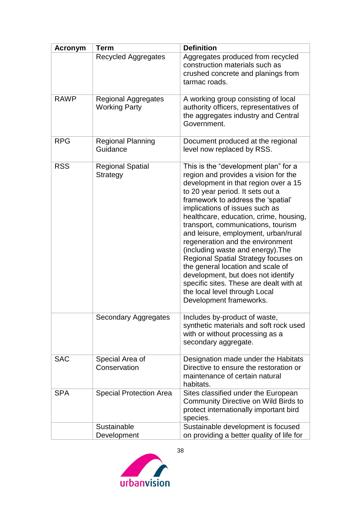| <b>Acronym</b> | <b>Term</b>                                        | <b>Definition</b>                                                                                                                                                                                                                                                                                                                                                                                                                                                                                                                                                                                                                                           |
|----------------|----------------------------------------------------|-------------------------------------------------------------------------------------------------------------------------------------------------------------------------------------------------------------------------------------------------------------------------------------------------------------------------------------------------------------------------------------------------------------------------------------------------------------------------------------------------------------------------------------------------------------------------------------------------------------------------------------------------------------|
|                | <b>Recycled Aggregates</b>                         | Aggregates produced from recycled<br>construction materials such as<br>crushed concrete and planings from<br>tarmac roads.                                                                                                                                                                                                                                                                                                                                                                                                                                                                                                                                  |
|                |                                                    |                                                                                                                                                                                                                                                                                                                                                                                                                                                                                                                                                                                                                                                             |
| <b>RAWP</b>    | <b>Regional Aggregates</b><br><b>Working Party</b> | A working group consisting of local<br>authority officers, representatives of<br>the aggregates industry and Central<br>Government.                                                                                                                                                                                                                                                                                                                                                                                                                                                                                                                         |
| <b>RPG</b>     | <b>Regional Planning</b><br>Guidance               | Document produced at the regional<br>level now replaced by RSS.                                                                                                                                                                                                                                                                                                                                                                                                                                                                                                                                                                                             |
| <b>RSS</b>     | <b>Regional Spatial</b><br><b>Strategy</b>         | This is the "development plan" for a<br>region and provides a vision for the<br>development in that region over a 15<br>to 20 year period. It sets out a<br>framework to address the 'spatial'<br>implications of issues such as<br>healthcare, education, crime, housing,<br>transport, communications, tourism<br>and leisure, employment, urban/rural<br>regeneration and the environment<br>(including waste and energy). The<br>Regional Spatial Strategy focuses on<br>the general location and scale of<br>development, but does not identify<br>specific sites. These are dealt with at<br>the local level through Local<br>Development frameworks. |
|                | <b>Secondary Aggregates</b>                        | Includes by-product of waste,<br>synthetic materials and soft rock used<br>with or without processing as a<br>secondary aggregate.                                                                                                                                                                                                                                                                                                                                                                                                                                                                                                                          |
| <b>SAC</b>     | Special Area of<br>Conservation                    | Designation made under the Habitats<br>Directive to ensure the restoration or<br>maintenance of certain natural<br>habitats.                                                                                                                                                                                                                                                                                                                                                                                                                                                                                                                                |
| <b>SPA</b>     | <b>Special Protection Area</b>                     | Sites classified under the European<br><b>Community Directive on Wild Birds to</b><br>protect internationally important bird<br>species.                                                                                                                                                                                                                                                                                                                                                                                                                                                                                                                    |
|                | Sustainable                                        | Sustainable development is focused                                                                                                                                                                                                                                                                                                                                                                                                                                                                                                                                                                                                                          |
|                | Development                                        | on providing a better quality of life for                                                                                                                                                                                                                                                                                                                                                                                                                                                                                                                                                                                                                   |

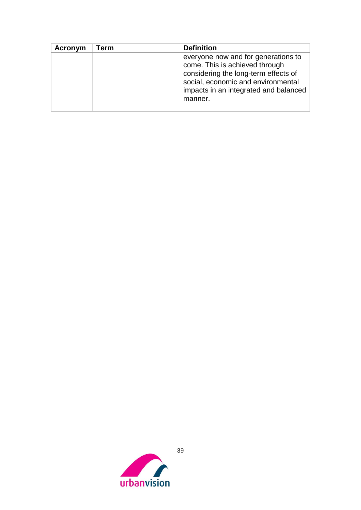| Acronym | Term | <b>Definition</b>                                                                                                                                                                                       |
|---------|------|---------------------------------------------------------------------------------------------------------------------------------------------------------------------------------------------------------|
|         |      | everyone now and for generations to<br>come. This is achieved through<br>considering the long-term effects of<br>social, economic and environmental<br>impacts in an integrated and balanced<br>manner. |

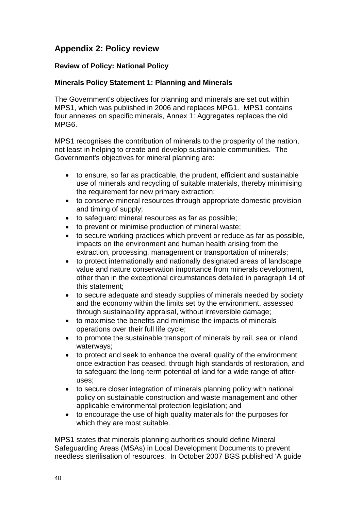# <span id="page-40-0"></span>**Appendix 2: Policy review**

#### **Review of Policy: National Policy**

#### **Minerals Policy Statement 1: Planning and Minerals**

The Government's objectives for planning and minerals are set out within MPS1, which was published in 2006 and replaces MPG1. MPS1 contains four annexes on specific minerals, Annex 1: Aggregates replaces the old MPG6.

MPS1 recognises the contribution of minerals to the prosperity of the nation, not least in helping to create and develop sustainable communities. The Government's objectives for mineral planning are:

- to ensure, so far as practicable, the prudent, efficient and sustainable use of minerals and recycling of suitable materials, thereby minimising the requirement for new primary extraction;
- to conserve mineral resources through appropriate domestic provision and timing of supply;
- to safeguard mineral resources as far as possible;
- to prevent or minimise production of mineral waste;
- to secure working practices which prevent or reduce as far as possible, impacts on the environment and human health arising from the extraction, processing, management or transportation of minerals;
- to protect internationally and nationally designated areas of landscape value and nature conservation importance from minerals development, other than in the exceptional circumstances detailed in paragraph 14 of this statement;
- to secure adequate and steady supplies of minerals needed by society and the economy within the limits set by the environment, assessed through sustainability appraisal, without irreversible damage;
- to maximise the benefits and minimise the impacts of minerals operations over their full life cycle;
- to promote the sustainable transport of minerals by rail, sea or inland waterways;
- to protect and seek to enhance the overall quality of the environment once extraction has ceased, through high standards of restoration, and to safeguard the long-term potential of land for a wide range of afteruses;
- to secure closer integration of minerals planning policy with national policy on sustainable construction and waste management and other applicable environmental protection legislation; and
- to encourage the use of high quality materials for the purposes for which they are most suitable.

MPS1 states that minerals planning authorities should define Mineral Safeguarding Areas (MSAs) in Local Development Documents to prevent needless sterilisation of resources. In October 2007 BGS published 'A guide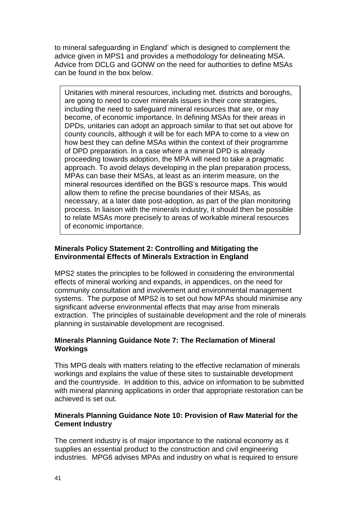to mineral safeguarding in England' which is designed to complement the advice given in MPS1 and provides a methodology for delineating MSA. Advice from DCLG and GONW on the need for authorities to define MSAs can be found in the box below.

Unitaries with mineral resources, including met. districts and boroughs, are going to need to cover minerals issues in their core strategies, including the need to safeguard mineral resources that are, or may become, of economic importance. In defining MSAs for their areas in DPDs, unitaries can adopt an approach similar to that set out above for county councils, although it will be for each MPA to come to a view on how best they can define MSAs within the context of their programme of DPD preparation. In a case where a mineral DPD is already proceeding towards adoption, the MPA will need to take a pragmatic approach. To avoid delays developing in the plan preparation process, MPAs can base their MSAs, at least as an interim measure, on the mineral resources identified on the BGS's resource maps. This would allow them to refine the precise boundaries of their MSAs, as necessary, at a later date post-adoption, as part of the plan monitoring process. In liaison with the minerals industry, it should then be possible to relate MSAs more precisely to areas of workable mineral resources of economic importance.

#### **Minerals Policy Statement 2: Controlling and Mitigating the Environmental Effects of Minerals Extraction in England**

MPS2 states the principles to be followed in considering the environmental effects of mineral working and expands, in appendices, on the need for community consultation and involvement and environmental management systems. The purpose of MPS2 is to set out how MPAs should minimise any significant adverse environmental effects that may arise from minerals extraction. The principles of sustainable development and the role of minerals planning in sustainable development are recognised.

#### **Minerals Planning Guidance Note 7: The Reclamation of Mineral Workings**

This MPG deals with matters relating to the effective reclamation of minerals workings and explains the value of these sites to sustainable development and the countryside. In addition to this, advice on information to be submitted with mineral planning applications in order that appropriate restoration can be achieved is set out.

#### **Minerals Planning Guidance Note 10: Provision of Raw Material for the Cement Industry**

The cement industry is of major importance to the national economy as it supplies an essential product to the construction and civil engineering industries. MPG6 advises MPAs and industry on what is required to ensure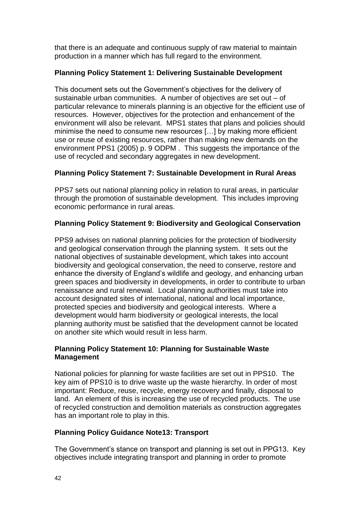that there is an adequate and continuous supply of raw material to maintain production in a manner which has full regard to the environment.

### **Planning Policy Statement 1: Delivering Sustainable Development**

This document sets out the Government's objectives for the delivery of sustainable urban communities. A number of objectives are set out – of particular relevance to minerals planning is an objective for the efficient use of resources. However, objectives for the protection and enhancement of the environment will also be relevant. MPS1 states that plans and policies should minimise the need to consume new resources […] by making more efficient use or reuse of existing resources, rather than making new demands on the environment PPS1 (2005) p. 9 ODPM . This suggests the importance of the use of recycled and secondary aggregates in new development.

### **Planning Policy Statement 7: Sustainable Development in Rural Areas**

PPS7 sets out national planning policy in relation to rural areas, in particular through the promotion of sustainable development. This includes improving economic performance in rural areas.

### **Planning Policy Statement 9: Biodiversity and Geological Conservation**

PPS9 advises on national planning policies for the protection of biodiversity and geological conservation through the planning system. It sets out the national objectives of sustainable development, which takes into account biodiversity and geological conservation, the need to conserve, restore and enhance the diversity of England's wildlife and geology, and enhancing urban green spaces and biodiversity in developments, in order to contribute to urban renaissance and rural renewal. Local planning authorities must take into account designated sites of international, national and local importance, protected species and biodiversity and geological interests. Where a development would harm biodiversity or geological interests, the local planning authority must be satisfied that the development cannot be located on another site which would result in less harm.

#### **Planning Policy Statement 10: Planning for Sustainable Waste Management**

National policies for planning for waste facilities are set out in PPS10. The key aim of PPS10 is to drive waste up the waste hierarchy. In order of most important: Reduce, reuse, recycle, energy recovery and finally, disposal to land. An element of this is increasing the use of recycled products. The use of recycled construction and demolition materials as construction aggregates has an important role to play in this.

#### **Planning Policy Guidance Note13: Transport**

The Government's stance on transport and planning is set out in PPG13. Key objectives include integrating transport and planning in order to promote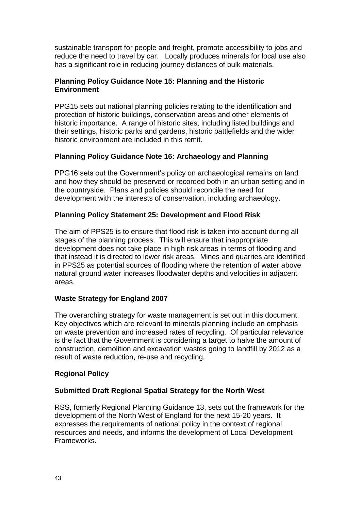sustainable transport for people and freight, promote accessibility to jobs and reduce the need to travel by car. Locally produces minerals for local use also has a significant role in reducing journey distances of bulk materials.

#### **Planning Policy Guidance Note 15: Planning and the Historic Environment**

PPG15 sets out national planning policies relating to the identification and protection of historic buildings, conservation areas and other elements of historic importance. A range of historic sites, including listed buildings and their settings, historic parks and gardens, historic battlefields and the wider historic environment are included in this remit.

#### **Planning Policy Guidance Note 16: Archaeology and Planning**

PPG16 sets out the Government's policy on archaeological remains on land and how they should be preserved or recorded both in an urban setting and in the countryside. Plans and policies should reconcile the need for development with the interests of conservation, including archaeology.

### **Planning Policy Statement 25: Development and Flood Risk**

The aim of PPS25 is to ensure that flood risk is taken into account during all stages of the planning process. This will ensure that inappropriate development does not take place in high risk areas in terms of flooding and that instead it is directed to lower risk areas. Mines and quarries are identified in PPS25 as potential sources of flooding where the retention of water above natural ground water increases floodwater depths and velocities in adjacent areas.

#### **Waste Strategy for England 2007**

The overarching strategy for waste management is set out in this document. Key objectives which are relevant to minerals planning include an emphasis on waste prevention and increased rates of recycling. Of particular relevance is the fact that the Government is considering a target to halve the amount of construction, demolition and excavation wastes going to landfill by 2012 as a result of waste reduction, re-use and recycling.

#### **Regional Policy**

#### **Submitted Draft Regional Spatial Strategy for the North West**

RSS, formerly Regional Planning Guidance 13, sets out the framework for the development of the North West of England for the next 15-20 years. It expresses the requirements of national policy in the context of regional resources and needs, and informs the development of Local Development Frameworks.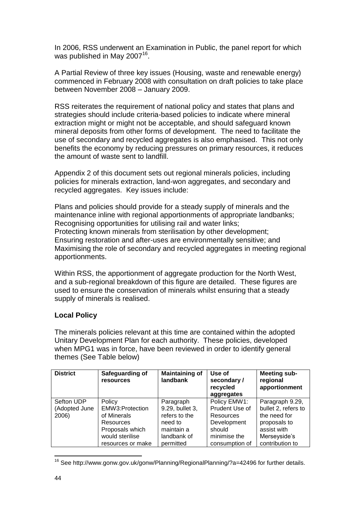In 2006, RSS underwent an Examination in Public, the panel report for which was published in May 2007<sup>16</sup>.

A Partial Review of three key issues (Housing, waste and renewable energy) commenced in February 2008 with consultation on draft policies to take place between November 2008 – January 2009.

RSS reiterates the requirement of national policy and states that plans and strategies should include criteria-based policies to indicate where mineral extraction might or might not be acceptable, and should safeguard known mineral deposits from other forms of development. The need to facilitate the use of secondary and recycled aggregates is also emphasised. This not only benefits the economy by reducing pressures on primary resources, it reduces the amount of waste sent to landfill.

Appendix 2 of this document sets out regional minerals policies, including policies for minerals extraction, land-won aggregates, and secondary and recycled aggregates. Key issues include:

Plans and policies should provide for a steady supply of minerals and the maintenance inline with regional apportionments of appropriate landbanks; Recognising opportunities for utilising rail and water links; Protecting known minerals from sterilisation by other development; Ensuring restoration and after-uses are environmentally sensitive; and Maximising the role of secondary and recycled aggregates in meeting regional apportionments.

Within RSS, the apportionment of aggregate production for the North West, and a sub-regional breakdown of this figure are detailed. These figures are used to ensure the conservation of minerals whilst ensuring that a steady supply of minerals is realised.

#### **Local Policy**

The minerals policies relevant at this time are contained within the adopted Unitary Development Plan for each authority. These policies, developed when MPG1 was in force, have been reviewed in order to identify general themes (See Table below)

| <b>District</b> | Safeguarding of<br>resources | <b>Maintaining of</b><br>landbank | Use of<br>secondary/<br>recycled<br>aggregates | <b>Meeting sub-</b><br>regional<br>apportionment |
|-----------------|------------------------------|-----------------------------------|------------------------------------------------|--------------------------------------------------|
| Sefton UDP      | Policy                       | Paragraph                         | Policy EMW1:                                   | Paragraph 9.29,                                  |
| (Adopted June   | EMW3:Protection              | 9.29, bullet 3,                   | Prudent Use of                                 | bullet 2, refers to                              |
| 2006)           | of Minerals                  | refers to the                     | Resources                                      | the need for                                     |
|                 | Resources                    | need to                           | Development                                    | proposals to                                     |
|                 | Proposals which              | maintain a                        | should                                         | assist with                                      |
|                 | would sterilise              | landbank of                       | minimise the                                   | Merseyside's                                     |
|                 | resources or make            | permitted                         | consumption of                                 | contribution to                                  |

<sup>&</sup>lt;sup>16</sup> See http://www.gonw.gov.uk/gonw/Planning/RegionalPlanning/?a=42496 for further details.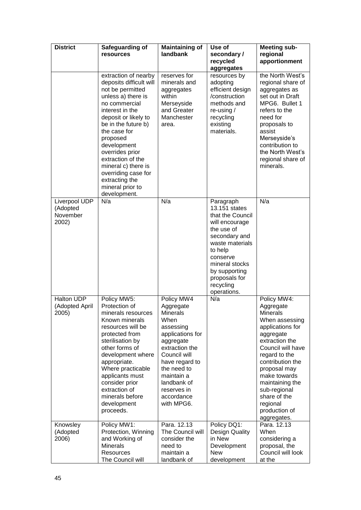| <b>District</b>                                | Safeguarding of<br>resources                                                                                                                                                                                                                                                                                                                                        | <b>Maintaining of</b><br>landbank                                                                                                                                                                                                           | Use of<br>secondary/<br>recycled<br>aggregates                                                                                                                                                                            | <b>Meeting sub-</b><br>regional<br>apportionment                                                                                                                                                                                                                                                          |
|------------------------------------------------|---------------------------------------------------------------------------------------------------------------------------------------------------------------------------------------------------------------------------------------------------------------------------------------------------------------------------------------------------------------------|---------------------------------------------------------------------------------------------------------------------------------------------------------------------------------------------------------------------------------------------|---------------------------------------------------------------------------------------------------------------------------------------------------------------------------------------------------------------------------|-----------------------------------------------------------------------------------------------------------------------------------------------------------------------------------------------------------------------------------------------------------------------------------------------------------|
|                                                | extraction of nearby<br>deposits difficult will<br>not be permitted<br>unless a) there is<br>no commercial<br>interest in the<br>deposit or likely to<br>be in the future b)<br>the case for<br>proposed<br>development<br>overrides prior<br>extraction of the<br>mineral c) there is<br>overriding case for<br>extracting the<br>mineral prior to<br>development. | reserves for<br>minerals and<br>aggregates<br>within<br>Merseyside<br>and Greater<br>Manchester<br>area.                                                                                                                                    | resources by<br>adopting<br>efficient design<br>/construction<br>methods and<br>re-using $/$<br>recycling<br>existing<br>materials.                                                                                       | the North West's<br>regional share of<br>aggregates as<br>set out in Draft<br>MPG6. Bullet 1<br>refers to the<br>need for<br>proposals to<br>assist<br>Merseyside's<br>contribution to<br>the North West's<br>regional share of<br>minerals.                                                              |
| Liverpool UDP<br>(Adopted<br>November<br>2002) | N/a                                                                                                                                                                                                                                                                                                                                                                 | N/a                                                                                                                                                                                                                                         | Paragraph<br>13.151 states<br>that the Council<br>will encourage<br>the use of<br>secondary and<br>waste materials<br>to help<br>conserve<br>mineral stocks<br>by supporting<br>proposals for<br>recycling<br>operations. | N/a                                                                                                                                                                                                                                                                                                       |
| Halton UDP<br>(Adopted April<br>2005)          | Policy MW5:<br>Protection of<br>minerals resources<br>Known minerals<br>resources will be<br>protected from<br>sterilisation by<br>other forms of<br>development where<br>appropriate.<br>Where practicable<br>applicants must<br>consider prior<br>extraction of<br>minerals before<br>development<br>proceeds.                                                    | Policy MW4<br>Aggregate<br><b>Minerals</b><br>When<br>assessing<br>applications for<br>aggregate<br>extraction the<br>Council will<br>have regard to<br>the need to<br>maintain a<br>landbank of<br>reserves in<br>accordance<br>with MPG6. | N/a                                                                                                                                                                                                                       | Policy MW4:<br>Aggregate<br><b>Minerals</b><br>When assessing<br>applications for<br>aggregate<br>extraction the<br>Council will have<br>regard to the<br>contribution the<br>proposal may<br>make towards<br>maintaining the<br>sub-regional<br>share of the<br>regional<br>production of<br>aggregates. |
| Knowsley<br>(Adopted<br>2006)                  | Policy MW1:<br>Protection, Winning<br>and Working of<br><b>Minerals</b><br>Resources<br>The Council will                                                                                                                                                                                                                                                            | Para. 12.13<br>The Council will<br>consider the<br>need to<br>maintain a<br>landbank of                                                                                                                                                     | Policy DQ1:<br><b>Design Quality</b><br>in New<br>Development<br>New<br>development                                                                                                                                       | Para. 12.13<br>When<br>considering a<br>proposal, the<br>Council will look<br>at the                                                                                                                                                                                                                      |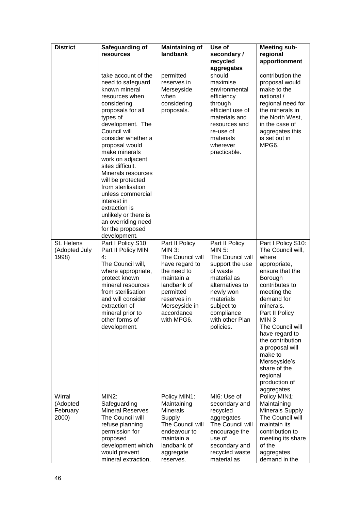| <b>District</b>                         | Safeguarding of<br>resources                                                                                                                                                                                                                                                                                                                                                                                                                                             | <b>Maintaining of</b><br>landbank                                                                                                                                                   | Use of<br>secondary/<br>recycled<br>aggregates                                                                                                                                                         | <b>Meeting sub-</b><br>regional<br>apportionment                                                                                                                                                                                                                                                                                                                     |
|-----------------------------------------|--------------------------------------------------------------------------------------------------------------------------------------------------------------------------------------------------------------------------------------------------------------------------------------------------------------------------------------------------------------------------------------------------------------------------------------------------------------------------|-------------------------------------------------------------------------------------------------------------------------------------------------------------------------------------|--------------------------------------------------------------------------------------------------------------------------------------------------------------------------------------------------------|----------------------------------------------------------------------------------------------------------------------------------------------------------------------------------------------------------------------------------------------------------------------------------------------------------------------------------------------------------------------|
|                                         | take account of the<br>need to safeguard<br>known mineral<br>resources when<br>considering<br>proposals for all<br>types of<br>development. The<br>Council will<br>consider whether a<br>proposal would<br>make minerals<br>work on adjacent<br>sites difficult.<br>Minerals resources<br>will be protected<br>from sterilisation<br>unless commercial<br>interest in<br>extraction is<br>unlikely or there is<br>an overriding need<br>for the proposed<br>development. | permitted<br>reserves in<br>Merseyside<br>when<br>considering<br>proposals.                                                                                                         | should<br>maximise<br>environmental<br>efficiency<br>through<br>efficient use of<br>materials and<br>resources and<br>re-use of<br>materials<br>wherever<br>practicable.                               | contribution the<br>proposal would<br>make to the<br>national /<br>regional need for<br>the minerals in<br>the North West,<br>in the case of<br>aggregates this<br>is set out in<br>MPG6.                                                                                                                                                                            |
| St. Helens<br>(Adopted July<br>1998)    | Part I Policy S10<br>Part II Policy MIN<br>4:<br>The Council will,<br>where appropriate,<br>protect known<br>mineral resources<br>from sterilisation<br>and will consider<br>extraction of<br>mineral prior to<br>other forms of<br>development.                                                                                                                                                                                                                         | Part II Policy<br>MIN 3:<br>The Council will<br>have regard to<br>the need to<br>maintain a<br>landbank of<br>permitted<br>reserves in<br>Merseyside in<br>accordance<br>with MPG6. | Part II Policy<br>MIN $5$ :<br>The Council will<br>support the use<br>of waste<br>material as<br>alternatives to<br>newly won<br>materials<br>subject to<br>compliance<br>with other Plan<br>policies. | Part I Policy S10:<br>The Council will,<br>where<br>appropriate,<br>ensure that the<br>Borough<br>contributes to<br>meeting the<br>demand for<br>minerals.<br>Part II Policy<br>MIN <sub>3</sub><br>The Council will<br>have regard to<br>the contribution<br>a proposal will<br>make to<br>Merseyside's<br>share of the<br>regional<br>production of<br>aggregates. |
| Wirral<br>(Adopted<br>February<br>2000) | MIN2:<br>Safeguarding<br><b>Mineral Reserves</b><br>The Council will<br>refuse planning<br>permission for<br>proposed<br>development which<br>would prevent<br>mineral extraction,                                                                                                                                                                                                                                                                                       | Policy MIN1:<br>Maintaining<br><b>Minerals</b><br>Supply<br>The Council will<br>endeavour to<br>maintain a<br>landbank of<br>aggregate<br>reserves.                                 | MI6: Use of<br>secondary and<br>recycled<br>aggregates<br>The Council will<br>encourage the<br>use of<br>secondary and<br>recycled waste<br>material as                                                | Policy MIN1:<br>Maintaining<br><b>Minerals Supply</b><br>The Council will<br>maintain its<br>contribution to<br>meeting its share<br>of the<br>aggregates<br>demand in the                                                                                                                                                                                           |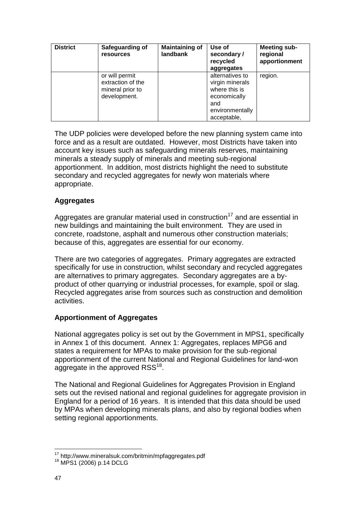| <b>District</b> | Safeguarding of<br><b>resources</b>                                     | <b>Maintaining of</b><br>landbank | Use of<br>secondary/<br>recycled<br>aggregates                                                               | <b>Meeting sub-</b><br>regional<br>apportionment |
|-----------------|-------------------------------------------------------------------------|-----------------------------------|--------------------------------------------------------------------------------------------------------------|--------------------------------------------------|
|                 | or will permit<br>extraction of the<br>mineral prior to<br>development. |                                   | alternatives to<br>virgin minerals<br>where this is<br>economically<br>and<br>environmentally<br>acceptable, | region.                                          |

The UDP policies were developed before the new planning system came into force and as a result are outdated. However, most Districts have taken into account key issues such as safeguarding minerals reserves, maintaining minerals a steady supply of minerals and meeting sub-regional apportionment. In addition, most districts highlight the need to substitute secondary and recycled aggregates for newly won materials where appropriate.

#### **Aggregates**

Aggregates are granular material used in construction<sup>17</sup> and are essential in new buildings and maintaining the built environment. They are used in concrete, roadstone, asphalt and numerous other construction materials; because of this, aggregates are essential for our economy.

There are two categories of aggregates. Primary aggregates are extracted specifically for use in construction, whilst secondary and recycled aggregates are alternatives to primary aggregates. Secondary aggregates are a byproduct of other quarrying or industrial processes, for example, spoil or slag. Recycled aggregates arise from sources such as construction and demolition activities.

#### **Apportionment of Aggregates**

National aggregates policy is set out by the Government in MPS1, specifically in Annex 1 of this document. Annex 1: Aggregates, replaces MPG6 and states a requirement for MPAs to make provision for the sub-regional apportionment of the current National and Regional Guidelines for land-won aggregate in the approved  $RSS^{18}$ .

The National and Regional Guidelines for Aggregates Provision in England sets out the revised national and regional guidelines for aggregate provision in England for a period of 16 years. It is intended that this data should be used by MPAs when developing minerals plans, and also by regional bodies when setting regional apportionments.

<sup>17</sup> http://www.mineralsuk.com/britmin/mpfaggregates.pdf

<sup>18</sup> MPS1 (2006) p.14 DCLG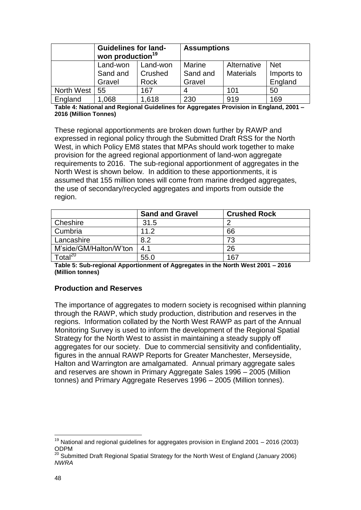|            | <b>Guidelines for land-</b><br>won production <sup>19</sup> |          | <b>Assumptions</b> |                  |            |  |
|------------|-------------------------------------------------------------|----------|--------------------|------------------|------------|--|
|            | Land-won                                                    | Land-won | Marine             | Alternative      | <b>Net</b> |  |
|            | Sand and<br>Crushed                                         |          | Sand and           | <b>Materials</b> | Imports to |  |
|            | Gravel                                                      | Rock     | Gravel             |                  | England    |  |
| North West | 55                                                          | 167      |                    | 101              | 50         |  |
| England    | .068                                                        | 1,618    | 230                | 919              | 169        |  |

**Table 4: National and Regional Guidelines for Aggregates Provision in England, 2001 – 2016 (Million Tonnes)**

These regional apportionments are broken down further by RAWP and expressed in regional policy through the Submitted Draft RSS for the North West, in which Policy EM8 states that MPAs should work together to make provision for the agreed regional apportionment of land-won aggregate requirements to 2016. The sub-regional apportionment of aggregates in the North West is shown below. In addition to these apportionments, it is assumed that 155 million tones will come from marine dredged aggregates, the use of secondary/recycled aggregates and imports from outside the region.

|                        | <b>Sand and Gravel</b> | <b>Crushed Rock</b> |
|------------------------|------------------------|---------------------|
| Cheshire               | 31.5                   |                     |
| Cumbria                | 11.2                   | 66                  |
| Lancashire             | 8.2                    | 73                  |
| M'side/GM/Halton/W'ton | 4.1                    | 26                  |
| $\tau$ otal $^{20}$    | 55.0                   | 167                 |

**Table 5: Sub-regional Apportionment of Aggregates in the North West 2001 – 2016 (Million tonnes)**

#### **Production and Reserves**

The importance of aggregates to modern society is recognised within planning through the RAWP, which study production, distribution and reserves in the regions. Information collated by the North West RAWP as part of the Annual Monitoring Survey is used to inform the development of the Regional Spatial Strategy for the North West to assist in maintaining a steady supply off aggregates for our society. Due to commercial sensitivity and confidentiality, figures in the annual RAWP Reports for Greater Manchester, Merseyside, Halton and Warrington are amalgamated. Annual primary aggregate sales and reserves are shown in Primary Aggregate Sales 1996 – 2005 (Million tonnes) and Primary Aggregate Reserves 1996 – 2005 (Million tonnes).

<sup>1</sup>  $19$  National and regional guidelines for aggregates provision in England 2001 – 2016 (2003) ODPM

<sup>&</sup>lt;sup>20</sup> Submitted Draft Regional Spatial Strategy for the North West of England (January 2006) *NWRA*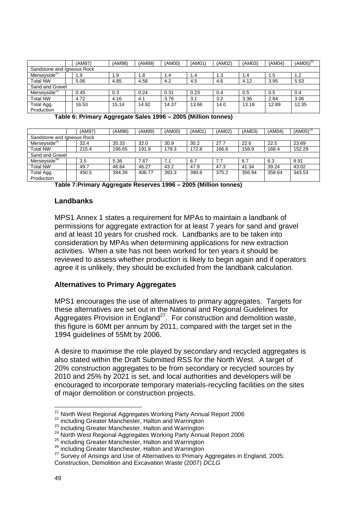|                            | (AM97) | (AM98) | (AM99) | (AM00) | (AMO1) | (AM02) | (AM03) | (AM04) | $(AMO5)^{21}$ |
|----------------------------|--------|--------|--------|--------|--------|--------|--------|--------|---------------|
| Sandstone and Igneous Rock |        |        |        |        |        |        |        |        |               |
| Merseyside <sup>22</sup>   | 1.9    | 1.9    | 1.8    | 1.4    | 1.4    | 1.3    | 1.4    | . .5   | 1.2           |
| <b>Total NW</b>            | 5.06   | 4.85   | 4.58   | 4.2    | 4.5    | 4.6    | 4.12   | 3.95   | 5.53          |
| Sand and Gravel            |        |        |        |        |        |        |        |        |               |
| Merseyside <sup>23</sup>   | 0.45   | 0.3    | 0.24   | 0.31   | 0.23   | 0.4    | 0.5    | 0.5    | 0.4           |
| <b>Total NW</b>            | 4.72   | 4.16   | 4.1    | 3.78   | 3.1    | 3.2    | 3.36   | 2.84   | 3.06          |
| Total Agg.<br>Production   | 16.53  | 15.14  | 14.92  | 14.37  | 13.66  | 14.0   | 13.18  | 12.89  | 12.35         |

**Table 6: Primary Aggregate Sales 1996 – 2005 (Million tonnes)**

|                          | (AM97)                     | (AM98) | (AM99) | (AM00) | (AMO1) | (AM02) | (AM03) | (AM04) | $(AM05)^{24}$ |
|--------------------------|----------------------------|--------|--------|--------|--------|--------|--------|--------|---------------|
|                          | Sandstone and Igneous Rock |        |        |        |        |        |        |        |               |
| Merseyside <sup>25</sup> | 32.4                       | 35.33  | 32.0   | 30.9   | 30.2   | 27.7   | 22.6   | 22.5   | 23.69         |
| <b>Total NW</b>          | 215.4                      | 196.65 | 191.9  | 179.3  | 172.8  | 166.6  | 158.9  | 168.4  | 152.29        |
| Sand and Gravel          |                            |        |        |        |        |        |        |        |               |
| Merseyside <sup>26</sup> | 3.5                        | 5.36   | 7.67   | 7.1    | 6.7    | 7.7    | 6.7    | 6.3    | 8.91          |
| <b>Total NW</b>          | 49.7                       | 46.64  | 46.27  | 43.2   | 47.9   | 47.3   | 41.34  | 39.24  | 43.02         |
| Total Agg.               | 450.5                      | 394.39 | 406.77 | 393.3  | 390.6  | 375.2  | 356.94 | 358.64 | 343.53        |
| Production               |                            |        |        |        |        |        |        |        |               |

**Table 7:Primary Aggregate Reserves 1996 – 2005 (Million tonnes)**

#### **Landbanks**

MPS1 Annex 1 states a requirement for MPAs to maintain a landbank of permissions for aggregate extraction for at least 7 years for sand and gravel and at least 10 years for crushed rock. Landbanks are to be taken into consideration by MPAs when determining applications for new extraction activities. When a site has not been worked for ten years it should be reviewed to assess whether production is likely to begin again and if operators agree it is unlikely, they should be excluded from the landbank calculation.

#### **Alternatives to Primary Aggregates**

MPS1 encourages the use of alternatives to primary aggregates. Targets for these alternatives are set out in the National and Regional Guidelines for Aggregates Provision in England<sup>27</sup>. For construction and demolition waste, this figure is 60Mt per annum by 2011, compared with the target set in the 1994 guidelines of 55Mt by 2006.

A desire to maximise the role played by secondary and recycled aggregates is also stated within the Draft Submitted RSS for the North West. A target of 20% construction aggregates to be from secondary or recycled sources by 2010 and 25% by 2021 is set, and local authorities and developers will be encouraged to incorporate temporary materials-recycling facilities on the sites of major demolition or construction projects.

<sup>&</sup>lt;sup>21</sup> North West Regional Aggregates Working Party Annual Report 2006

<sup>22</sup> including Greater Manchester, Halton and Warrington

<sup>&</sup>lt;sup>23</sup> including Greater Manchester, Halton and Warrington

<sup>&</sup>lt;sup>24</sup> North West Regional Aggregates Working Party Annual Report 2006

<sup>25</sup> including Greater Manchester, Halton and Warrington

<sup>&</sup>lt;sup>26</sup> including Greater Manchester, Halton and Warrington

<sup>&</sup>lt;sup>27</sup> Survey of Arisings and Use of Alternatives to Primary Aggregates in England, 2005: Construction, Demolition and Excavation Waste (2007) *DCLG*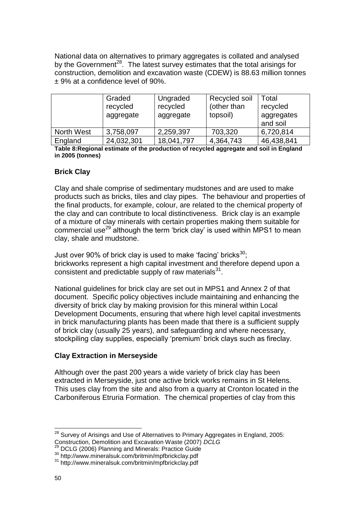National data on alternatives to primary aggregates is collated and analysed by the Government<sup>28</sup>. The latest survey estimates that the total arisings for construction, demolition and excavation waste (CDEW) is 88.63 million tonnes ± 9% at a confidence level of 90%.

|                   | Graded<br>recycled<br>aggregate | Ungraded<br>recycled<br>aggregate | Recycled soil<br>(other than<br>topsoil) | Total<br>recycled<br>aggregates<br>and soil |
|-------------------|---------------------------------|-----------------------------------|------------------------------------------|---------------------------------------------|
| <b>North West</b> | 3,758,097                       | 2,259,397                         | 703,320                                  | 6,720,814                                   |
| England           | 24,032,301                      | 18,041,797                        | 4,364,743                                | 46,438,841                                  |

**Table 8:Regional estimate of the production of recycled aggregate and soil in England in 2005 (tonnes)**

#### **Brick Clay**

Clay and shale comprise of sedimentary mudstones and are used to make products such as bricks, tiles and clay pipes. The behaviour and properties of the final products, for example, colour, are related to the chemical property of the clay and can contribute to local distinctiveness. Brick clay is an example of a mixture of clay minerals with certain properties making them suitable for commercial use<sup>29</sup> although the term 'brick clay' is used within MPS1 to mean clay, shale and mudstone.

Just over 90% of brick clay is used to make 'facing' bricks $^{30}$ ; brickworks represent a high capital investment and therefore depend upon a consistent and predictable supply of raw materials $^{31}$ .

National guidelines for brick clay are set out in MPS1 and Annex 2 of that document. Specific policy objectives include maintaining and enhancing the diversity of brick clay by making provision for this mineral within Local Development Documents, ensuring that where high level capital investments in brick manufacturing plants has been made that there is a sufficient supply of brick clay (usually 25 years), and safeguarding and where necessary, stockpiling clay supplies, especially 'premium' brick clays such as fireclay.

#### **Clay Extraction in Merseyside**

Although over the past 200 years a wide variety of brick clay has been extracted in Merseyside, just one active brick works remains in St Helens. This uses clay from the site and also from a quarry at Cronton located in the Carboniferous Etruria Formation. The chemical properties of clay from this

<u>.</u>

 $28$  Survey of Arisings and Use of Alternatives to Primary Aggregates in England, 2005: Construction, Demolition and Excavation Waste (2007) *DCLG*

<sup>29</sup> DCLG (2006) Planning and Minerals: Practice Guide

<sup>30</sup> http://www.mineralsuk.com/britmin/mpfbrickclay.pdf

<sup>31</sup> http://www.mineralsuk.com/britmin/mpfbrickclay.pdf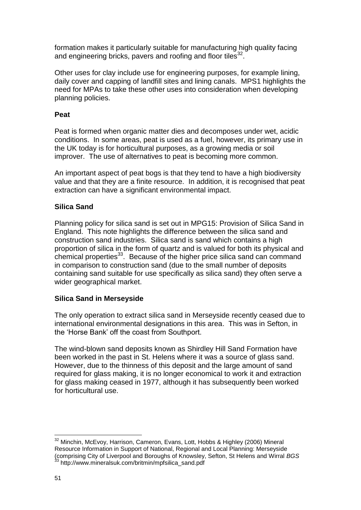formation makes it particularly suitable for manufacturing high quality facing and engineering bricks, pavers and roofing and floor tiles<sup>32</sup>.

Other uses for clay include use for engineering purposes, for example lining, daily cover and capping of landfill sites and lining canals. MPS1 highlights the need for MPAs to take these other uses into consideration when developing planning policies.

#### **Peat**

Peat is formed when organic matter dies and decomposes under wet, acidic conditions. In some areas, peat is used as a fuel, however, its primary use in the UK today is for horticultural purposes, as a growing media or soil improver. The use of alternatives to peat is becoming more common.

An important aspect of peat bogs is that they tend to have a high biodiversity value and that they are a finite resource. In addition, it is recognised that peat extraction can have a significant environmental impact.

#### **Silica Sand**

Planning policy for silica sand is set out in MPG15: Provision of Silica Sand in England. This note highlights the difference between the silica sand and construction sand industries. Silica sand is sand which contains a high proportion of silica in the form of quartz and is valued for both its physical and chemical properties<sup>33</sup>. Because of the higher price silica sand can command in comparison to construction sand (due to the small number of deposits containing sand suitable for use specifically as silica sand) they often serve a wider geographical market.

#### **Silica Sand in Merseyside**

The only operation to extract silica sand in Merseyside recently ceased due to international environmental designations in this area. This was in Sefton, in the 'Horse Bank' off the coast from Southport.

The wind-blown sand deposits known as Shirdley Hill Sand Formation have been worked in the past in St. Helens where it was a source of glass sand. However, due to the thinness of this deposit and the large amount of sand required for glass making, it is no longer economical to work it and extraction for glass making ceased in 1977, although it has subsequently been worked for horticultural use.

<sup>1</sup> <sup>32</sup> Minchin, McEvoy, Harrison, Cameron, Evans, Lott, Hobbs & Highley (2006) Mineral Resource Information in Support of National, Regional and Local Planning: Merseyside (comprising City of Liverpool and Boroughs of Knowsley, Sefton, St Helens and Wirral *BGS* http://www.mineralsuk.com/britmin/mpfsilica\_sand.pdf